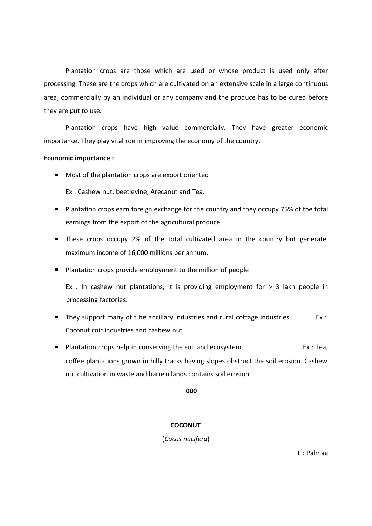Plantation crops are those which are used or whose product is used only after<br>ing. These are the crops which are cultivated on an extensive scale in a large continuous<br>pmmercially by an individual or any company and the pr processing. These are the crops which are cultivated on an extensive scale in a large continuous area, commercially by an individual or any company and the produce has to be cured before they are put to use.

Plantation crops have high value commercially. They have greater economic importance. They play vital roe in improving the economy of the country.

# Economic importance :

**Most of the plantation crops are export oriented** 

Ex : Cashew nut, beetlevine, Arecanut and Tea.

- **Plantation crops earn foreign exchange for the country and they occupy 75% of the total** earnings from the export of the agricultural produce.
- **These crops occupy 2% of the total cultivated area in the country but generate** maximum income of 16,000 millions per annum.
- **Plantation crops provide employment to the million of people**

Ex : In cashew nut plantations, it is providing employment for  $> 3$  lakh people in processing factories.

- They support many of t he ancillary industries and rural cottage industries.  $Ex:$ Coconut coir industries and cashew nut.
- **Plantation crops help in conserving the soil and ecosystem.** Ex : Tea, coffee plantations grown in hilly tracks having slopes obstruct the soil erosion. Cashew earnings from the export of the agricultural produce.<br>These crops occupy 2% of the total cultivated area in the country but generate<br>maximum income of 16,000 millions per annum.<br>Plantation crops provide employment to the m

## 000 and the contract of the contract of the contract of the contract of the contract of the contract of the co

# **COCONUT**

(Cocos nucifera)

F : Palmae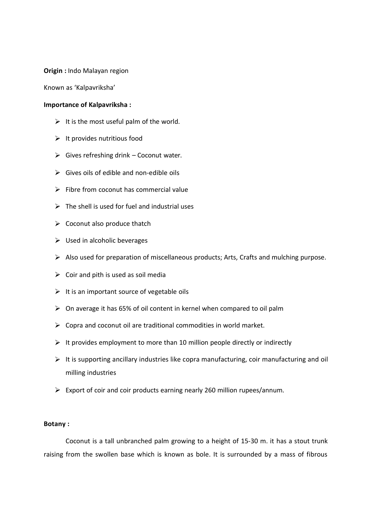# Origin : Indo Malayan region

Known as 'Kalpavriksha'

# Importance of Kalpavriksha :

- $\triangleright$  It is the most useful palm of the world.
- $\triangleright$  It provides nutritious food
- $\triangleright$  Gives refreshing drink Coconut water.
- $\triangleright$  Gives oils of edible and non-edible oils
- $\triangleright$  Fibre from coconut has commercial value
- $\triangleright$  The shell is used for fuel and industrial uses
- $\triangleright$  Coconut also produce thatch
- $\triangleright$  Used in alcoholic beverages
- $\triangleright$  Also used for preparation of miscellaneous products; Arts, Crafts and mulching purpose.
- $\triangleright$  Coir and pith is used as soil media
- $\triangleright$  It is an important source of vegetable oils
- $\geq$  On average it has 65% of oil content in kernel when compared to oil palm
- $\triangleright$  Copra and coconut oil are traditional commodities in world market.
- $\triangleright$  It provides employment to more than 10 million people directly or indirectly
- $\triangleright$  It is supporting ancillary industries like copra manufacturing, coir manufacturing and oil milling industries
- $\triangleright$  Export of coir and coir products earning nearly 260 million rupees/annum.

→ Coir and pith is used as soil media<br>
→ It is an important source of vegetable oils<br>
→ On average it has 65% of oil content in kernel when compared to oil p<br>
→ Copra and coconut oil are traditional commodities in world Coconut is a tall unbranched palm growing to a height of 15-30 m. it has a stout trunk raising from the swollen base which is known as bole. It is surrounded by a mass of fibrous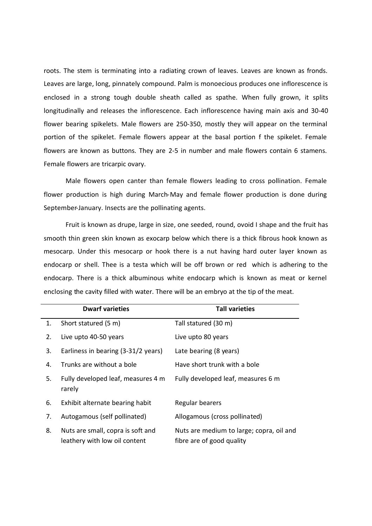roots. The stem is terminating into a radiating crown of leaves. Leaves are known as fronds. Leaves are large, long, pinnately compound. Palm is monoecious produces one inflorescence is enclosed in a strong tough double sheath called as spathe. When fully grown, it splits longitudinally and releases the inflorescence. Each inflorescence having main axis and 30-40 flower bearing spikelets. Male flowers are 250-350, mostly they will appear on the terminal portion of the spikelet. Female flowers appear at the basal portion f the spikelet. Female flowers are known as buttons. They are 2-5 in number and male flowers contain 6 stamens. Female flowers are tricarpic ovary.

Male flowers open canter than female flowers leading to cross pollination. Female flower production is high during March-May and female flower production is done during September-January. Insects are the pollinating agents.

Fruit is known as drupe, large in size, one seeded, round, ovoid I shape and the fruit has smooth thin green skin known as exocarp below which there is a thick fibrous hook known as mesocarp. Under this mesocarp or hook there is a nut having hard outer layer known as endocarp or shell. Thee is a testa which will be off brown or red which is adhering to the endocarp. There is a thick albuminous white endocarp which is known as meat or kernel enclosing the cavity filled with water. There will be an embryo at the tip of the meat. The variety of the term of the term of the series of the series of the series of the series of the beat of the beat of the beat of the series is the pollination. Female those sponsors pollination. Female those to the shift Male flowers open canter than female flowers leading to cross pollination. Female<br>
Uower production is high during March-May and female flower production is done during<br>
eptember-January. Insects are the pollinating agent Male flowers open canter than female flowers leading to cross pollination. Female<br>
Ever production is high during March-May and female flower production is done during<br>
Eeptember-January. Insects are the pollinating agent

|                |                                                                    | flower production is high during March-May and female flower production is done during     |  |
|----------------|--------------------------------------------------------------------|--------------------------------------------------------------------------------------------|--|
|                | September-January. Insects are the pollinating agents.             |                                                                                            |  |
|                |                                                                    | Fruit is known as drupe, large in size, one seeded, round, ovoid I shape and the fruit has |  |
|                |                                                                    | smooth thin green skin known as exocarp below which there is a thick fibrous hook known as |  |
|                |                                                                    | mesocarp. Under this mesocarp or hook there is a nut having hard outer layer known as      |  |
|                |                                                                    | endocarp or shell. Thee is a testa which will be off brown or red which is adhering to the |  |
|                |                                                                    | endocarp. There is a thick albuminous white endocarp which is known as meat or kernel      |  |
|                |                                                                    | enclosing the cavity filled with water. There will be an embryo at the tip of the meat.    |  |
|                | <b>Dwarf varieties</b>                                             | <b>Tall varieties</b>                                                                      |  |
| $\mathbf{1}$ . | Short statured (5 m)                                               | Tall statured (30 m)                                                                       |  |
| 2.             | Live upto 40-50 years                                              | Live upto 80 years                                                                         |  |
| 3.             | Earliness in bearing (3-31/2 years)                                | Late bearing (8 years)                                                                     |  |
| 4.             | Trunks are without a bole                                          | Have short trunk with a bole                                                               |  |
| 5.             | Fully developed leaf, measures 4 m<br>rarely                       | Fully developed leaf, measures 6 m                                                         |  |
| 6.             | Exhibit alternate bearing habit                                    | Regular bearers                                                                            |  |
| 7.             | Autogamous (self pollinated)                                       | Allogamous (cross pollinated)                                                              |  |
| 8.             | Nuts are small, copra is soft and<br>leathery with low oil content | Nuts are medium to large; copra, oil and<br>fibre are of good quality                      |  |
|                |                                                                    |                                                                                            |  |
|                |                                                                    |                                                                                            |  |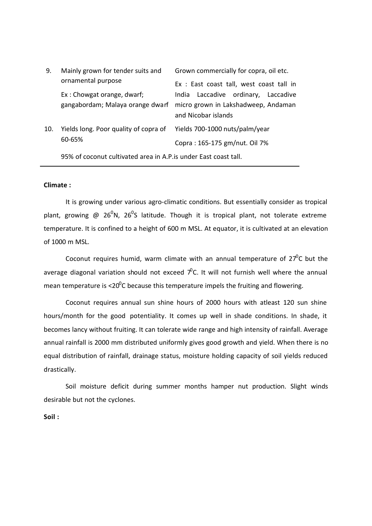| 9.  | Mainly grown for tender suits and                                | Grown commercially for copra, oil etc.                                                               |
|-----|------------------------------------------------------------------|------------------------------------------------------------------------------------------------------|
|     | ornamental purpose                                               | Ex : East coast tall, west coast tall in                                                             |
|     | Ex: Chowgat orange, dwarf;<br>gangabordam; Malaya orange dwarf   | India<br>Laccadive ordinary, Laccadive<br>micro grown in Lakshadweep, Andaman<br>and Nicobar islands |
| 10. | Yields long. Poor quality of copra of                            | Yields 700-1000 nuts/palm/year                                                                       |
|     | 60-65%                                                           | Copra: 165-175 gm/nut. Oil 7%                                                                        |
|     | 95% of coconut cultivated area in A.P. is under East coast tall. |                                                                                                      |

# Climate :

It is growing under various agro-climatic conditions. But essentially consider as tropical plant, growing @ 26<sup>0</sup>N, 26<sup>0</sup>S latitude. Though it is tropical plant, not tolerate extreme temperature. It is confined to a height of 600 m MSL. At equator, it is cultivated at an elevation of 1000 m MSL.

Coconut requires humid, warm climate with an annual temperature of  $27^{\circ}$ C but the average diagonal variation should not exceed  $\tau^0$ C. It will not furnish well where the annual mean temperature is  $< 20^\circ$ C because this temperature impels the fruiting and flowering.

Coconut requires annual sun shine hours of 2000 hours with atleast 120 sun shine hours/month for the good potentiality. It comes up well in shade conditions. In shade, it becomes lancy without fruiting. It can tolerate wide range and high intensity of rainfall. Average annual rainfall is 2000 mm distributed uniformly gives good growth and yield. When there is no equal distribution of rainfall, drainage status, moisture holding capacity of soil yields reduced drastically.

Soil moisture deficit during summer months hamper nut production. Slight winds desirable but not the cyclones.

Soil :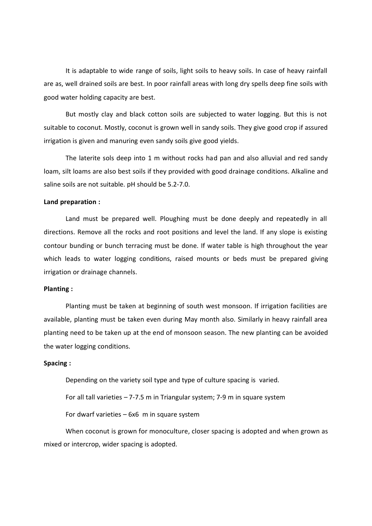It is adaptable to wide range of soils, light soils to heavy soils. In case of heavy rainfall are as, well drained soils are best. In poor rainfall areas with long dry spells deep fine soils with good water holding capacity are best.

But mostly clay and black cotton soils are subjected to water logging. But this is not suitable to coconut. Mostly, coconut is grown well in sandy soils. They give good crop if assured irrigation is given and manuring even sandy soils give good yields.

The laterite sols deep into 1 m without rocks had pan and also alluvial and red sandy loam, silt loams are also best soils if they provided with good drainage conditions. Alkaline and saline soils are not suitable. pH should be 5.2-7.0.

## Land preparation :

Land must be prepared well. Ploughing must be done deeply and repeatedly in all directions. Remove all the rocks and root positions and level the land. If any slope is existing contour bunding or bunch terracing must be done. If water table is high throughout the year which leads to water logging conditions, raised mounts or beds must be prepared giving irrigation or drainage channels.

## Planting :

Planting must be taken at beginning of south west monsoon. If irrigation facilities are available, planting must be taken even during May month also. Similarly in heavy rainfall area planting need to be taken up at the end of monsoon season. The new planting can be avoided the water logging conditions.

# Spacing :

Depending on the variety soil type and type of culture spacing is varied.

For all tall varieties  $-7-7.5$  m in Triangular system; 7-9 m in square system

For dwarf varieties  $-6x6$  m in square system

When coconut is grown for monoculture, closer spacing is adopted and when grown as mixed or intercrop, wider spacing is adopted.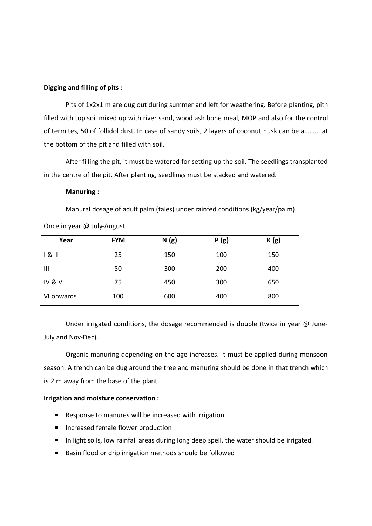# Digging and filling of pits :

## Manuring :

| Digging and filling of pits : |                                             |      |                                                                                  |                                                                                                 |  |
|-------------------------------|---------------------------------------------|------|----------------------------------------------------------------------------------|-------------------------------------------------------------------------------------------------|--|
|                               |                                             |      |                                                                                  | Pits of 1x2x1 m are dug out during summer and left for weathering. Before planting, pith        |  |
|                               |                                             |      |                                                                                  | filled with top soil mixed up with river sand, wood ash bone meal, MOP and also for the control |  |
|                               |                                             |      |                                                                                  | of termites, 50 of follidol dust. In case of sandy soils, 2 layers of coconut husk can be a at  |  |
|                               | the bottom of the pit and filled with soil. |      |                                                                                  |                                                                                                 |  |
|                               |                                             |      |                                                                                  | After filling the pit, it must be watered for setting up the soil. The seedlings transplanted   |  |
|                               |                                             |      | in the centre of the pit. After planting, seedlings must be stacked and watered. |                                                                                                 |  |
| <b>Manuring:</b>              |                                             |      |                                                                                  |                                                                                                 |  |
|                               |                                             |      |                                                                                  |                                                                                                 |  |
|                               |                                             |      | Manural dosage of adult palm (tales) under rainfed conditions (kg/year/palm)     |                                                                                                 |  |
| Once in year @ July-August    |                                             |      |                                                                                  |                                                                                                 |  |
| Year                          | <b>FYM</b>                                  | N(g) | P(g)                                                                             | K(g)                                                                                            |  |
| 181                           | 25                                          | 150  | 100                                                                              | 150                                                                                             |  |
| $\mathbf{III}$                | 50                                          | 300  | 200                                                                              | 400                                                                                             |  |
| IV&V                          | 75                                          | 450  | 300                                                                              | 650                                                                                             |  |
| VI onwards                    | 100                                         | 600  | 400                                                                              | 800                                                                                             |  |
|                               |                                             |      |                                                                                  |                                                                                                 |  |
|                               |                                             |      |                                                                                  | Under irrigated conditions, the dosage recommended is double (twice in year $\omega$ June-      |  |
| July and Nov-Dec).            |                                             |      |                                                                                  |                                                                                                 |  |
|                               |                                             |      |                                                                                  |                                                                                                 |  |

Organic manuring depending on the age increases. It must be applied during monsoon season. A trench can be dug around the tree and manuring should be done in that trench which is 2 m away from the base of the plant.

## Irrigation and moisture conservation :

- Response to manures will be increased with irrigation
- Increased female flower production
- In light soils, low rainfall areas during long deep spell, the water should be irrigated.
- Basin flood or drip irrigation methods should be followed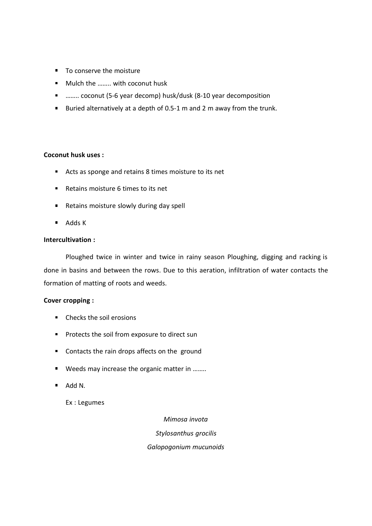- To conserve the moisture
- Mulch the ........ with coconut husk
- ........ coconut (5-6 year decomp) husk/dusk (8-10 year decomposition
- Buried alternatively at a depth of 0.5-1 m and 2 m away from the trunk.

# Coconut husk uses :

- Acts as sponge and retains 8 times moisture to its net
- Retains moisture 6 times to its net
- Retains moisture slowly during day spell
- Adds K

# Intercultivation :

Ploughed twice in winter and twice in rainy season Ploughing, digging and racking is done in basins and between the rows. Due to this aeration, infiltration of water contacts the formation of matting of roots and weeds.

# Cover cropping :

- Checks the soil erosions
- **Protects the soil from exposure to direct sun**
- Contacts the rain drops affects on the ground
- Weeds may increase the organic matter in ........
- $Add N$ .

Ex : Legumes

Mimosa invota Stylosanthus grocilis Galopogonium mucunoids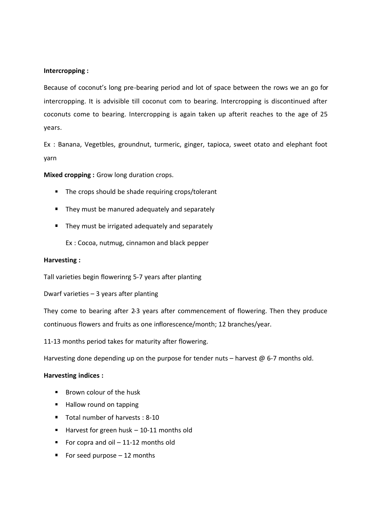# Intercropping :

Because of coconut's long pre-bearing period and lot of space between the rows we an go for intercropping. It is advisible till coconut com to bearing. Intercropping is discontinued after coconuts come to bearing. Intercropping is again taken up afterit reaches to the age of 25 years.

Ex : Banana, Vegetbles, groundnut, turmeric, ginger, tapioca, sweet otato and elephant foot yarn

Mixed cropping : Grow long duration crops.

- The crops should be shade requiring crops/tolerant
- They must be manured adequately and separately
- They must be irrigated adequately and separately

Ex : Cocoa, nutmug, cinnamon and black pepper

# Harvesting :

Tall varieties begin flowerinrg 5-7 years after planting

Dwarf varieties – 3 years after planting

They come to bearing after 2-3 years after commencement of flowering. Then they produce continuous flowers and fruits as one inflorescence/month; 12 branches/year.

11-13 months period takes for maturity after flowering.

Harvesting done depending up on the purpose for tender nuts – harvest  $@$  6-7 months old.

# Harvesting indices :

- $\blacksquare$  Brown colour of the husk
- Hallow round on tapping
- Total number of harvests : 8-10
- $H$  Harvest for green husk 10-11 months old
- For copra and oil  $-11-12$  months old
- For seed purpose  $-12$  months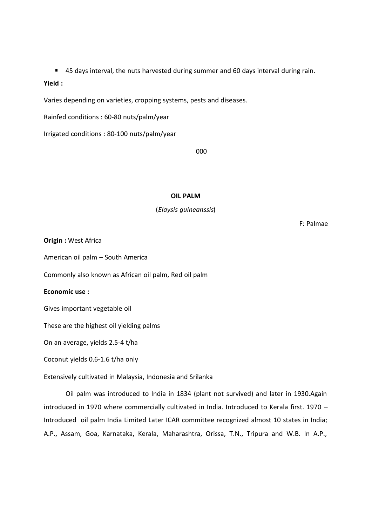■ 45 days interval, the nuts harvested during summer and 60 days interval during rain. Yield :

Varies depending on varieties, cropping systems, pests and diseases.

Rainfed conditions : 60-80 nuts/palm/year

Irrigated conditions : 80-100 nuts/palm/year

000 and the contract of the contract of the contract of the contract of the contract of the contract of the co

# OIL PALM

(Elaysis guineanssis)

F: Palmae

Origin : West Africa

American oil palm – South America

Commonly also known as African oil palm, Red oil palm

## Economic use :

Gives important vegetable oil

These are the highest oil yielding palms

On an average, yields 2.5-4 t/ha

Coconut yields 0.6-1.6 t/ha only

Extensively cultivated in Malaysia, Indonesia and Srilanka

Oil palm was introduced to India in 1834 (plant not survived) and later in 1930.Again introduced in 1970 where commercially cultivated in India. Introduced to Kerala first. 1970 – Introduced oil palm India Limited Later ICAR committee recognized almost 10 states in India; A.P., Assam, Goa, Karnataka, Kerala, Maharashtra, Orissa, T.N., Tripura and W.B. In A.P.,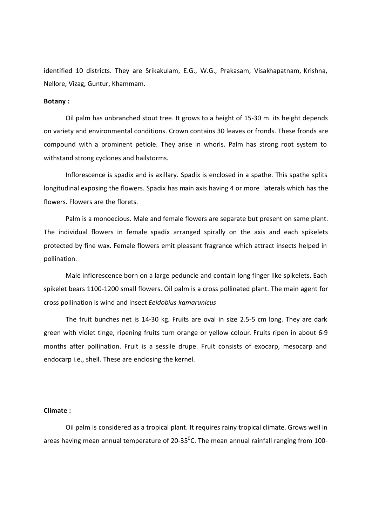identified 10 districts. They are Srikakulam, E.G., W.G., Prakasam, Visakhapatnam, Krishna, Nellore, Vizag, Guntur, Khammam.

## Botany :

Oil palm has unbranched stout tree. It grows to a height of 15-30 m. its height depends on variety and environmental conditions. Crown contains 30 leaves or fronds. These fronds are compound with a prominent petiole. They arise in whorls. Palm has strong root system to withstand strong cyclones and hailstorms.

Inflorescence is spadix and is axillary. Spadix is enclosed in a spathe. This spathe splits longitudinal exposing the flowers. Spadix has main axis having 4 or more laterals which has the flowers. Flowers are the florets.

Palm is a monoecious. Male and female flowers are separate but present on same plant. The individual flowers in female spadix arranged spirally on the axis and each spikelets protected by fine wax. Female flowers emit pleasant fragrance which attract insects helped in pollination.

Male inflorescence born on a large peduncle and contain long finger like spikelets. Each spikelet bears 1100-1200 small flowers. Oil palm is a cross pollinated plant. The main agent for cross pollination is wind and insect Eeidobius kamarunicus

The fruit bunches net is 14-30 kg. Fruits are oval in size 2.5-5 cm long. They are dark green with violet tinge, ripening fruits turn orange or yellow colour. Fruits ripen in about 6-9 months after pollination. Fruit is a sessile drupe. Fruit consists of exocarp, mesocarp and endocarp i.e., shell. These are enclosing the kernel.

## Climate :

Oil palm is considered as a tropical plant. It requires rainy tropical climate. Grows well in areas having mean annual temperature of 20-35 $\degree$ C. The mean annual rainfall ranging from 100-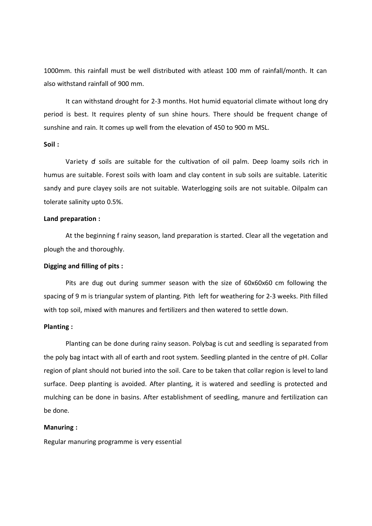1000mm. this rainfall must be well distributed with atleast 100 mm of rainfall/month. It can also withstand rainfall of 900 mm.

It can withstand drought for 2-3 months. Hot humid equatorial climate without long dry period is best. It requires plenty of sun shine hours. There should be frequent change of sunshine and rain. It comes up well from the elevation of 450 to 900 m MSL.

# Soil :

Variety of soils are suitable for the cultivation of oil palm. Deep loamy soils rich in humus are suitable. Forest soils with loam and clay content in sub soils are suitable. Lateritic sandy and pure clayey soils are not suitable. Waterlogging soils are not suitable. Oilpalm can tolerate salinity upto 0.5%.

## Land preparation :

At the beginning f rainy season, land preparation is started. Clear all the vegetation and plough the and thoroughly.

## Digging and filling of pits :

Pits are dug out during summer season with the size of 60x60x60 cm following the spacing of 9 m is triangular system of planting. Pith left for weathering for 2-3 weeks. Pith filled with top soil, mixed with manures and fertilizers and then watered to settle down.

# Planting :

Planting can be done during rainy season. Polybag is cut and seedling is separated from the poly bag intact with all of earth and root system. Seedling planted in the centre of pH. Collar region of plant should not buried into the soil. Care to be taken that collar region is level to land surface. Deep planting is avoided. After planting, it is watered and seedling is protected and mulching can be done in basins. After establishment of seedling, manure and fertilization can be done.

## Manuring :

Regular manuring programme is very essential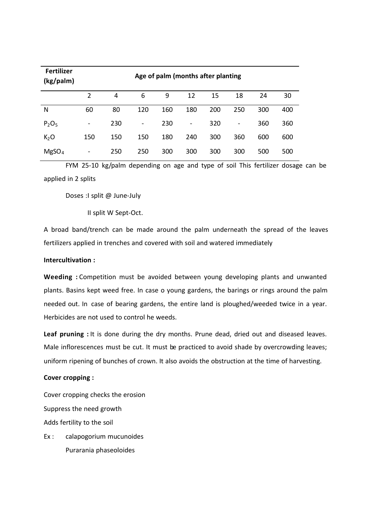| Fertilizer<br>(kg/palm) |                                                                                   |                |                          | Age of palm (months after planting |                |     |                |     |        |
|-------------------------|-----------------------------------------------------------------------------------|----------------|--------------------------|------------------------------------|----------------|-----|----------------|-----|--------|
|                         | $\overline{2}$                                                                    | $\overline{4}$ | 6                        | 9                                  | 12             | 15  | 18             | 24  | $30\,$ |
| ${\sf N}$               | 60                                                                                | 80             | 120                      | 160                                | 180            | 200 | 250            | 300 | 400    |
| $P_2O_5$                | $\blacksquare$                                                                    | 230            | $\overline{\phantom{a}}$ | 230                                | $\blacksquare$ | 320 | $\blacksquare$ | 360 | 360    |
| K <sub>2</sub> O        | 150                                                                               | 150            | 150                      | 180                                | 240            | 300 | 360            | 600 | 600    |
| MgSO <sub>4</sub>       | $\overline{\phantom{a}}$                                                          | 250            | 250                      | 300                                | 300            | 300 | 300            | 500 | 500    |
|                         | FYM 25-10 kg/palm depending on age and type of soil This fertilizer dosage can be |                |                          |                                    |                |     |                |     |        |
|                         |                                                                                   |                |                          |                                    |                |     |                |     |        |
| applied in 2 splits     |                                                                                   |                |                          |                                    |                |     |                |     |        |

II split W Sept-Oct.

A broad band/trench can be made around the palm underneath the spread of the leaves fertilizers applied in trenches and covered with soil and watered immediately

# Intercultivation :

Weeding : Competition must be avoided between young developing plants and unwanted plants. Basins kept weed free. In case o young gardens, the barings or rings around the palm needed out. In case of bearing gardens, the entire land is ploughed/weeded twice in a year. Herbicides are not used to control he weeds.

Leaf pruning : It is done during the dry months. Prune dead, dried out and diseased leaves. Male inflorescences must be cut. It must be practiced to avoid shade by overcrowding leaves; uniform ripening of bunches of crown. It also avoids the obstruction at the time of harvesting.

## Cover cropping :

Cover cropping checks the erosion Suppress the need growth Adds fertility to the soil

Ex : calapogorium mucunoides Purarania phaseoloides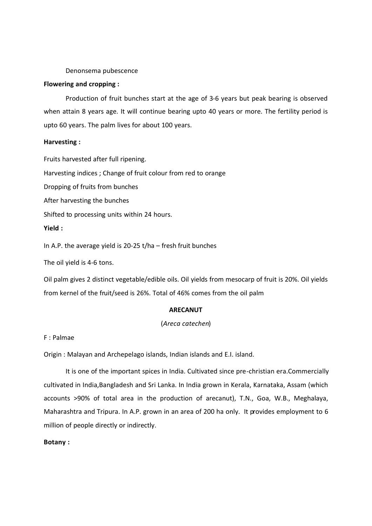## Denonsema pubescence

## Flowering and cropping :

Production of fruit bunches start at the age of 3-6 years but peak bearing is observed when attain 8 years age. It will continue bearing upto 40 years or more. The fertility period is upto 60 years. The palm lives for about 100 years.

## Harvesting :

Fruits harvested after full ripening.

Harvesting indices ; Change of fruit colour from red to orange

Dropping of fruits from bunches

After harvesting the bunches

Shifted to processing units within 24 hours.

## Yield :

In A.P. the average yield is 20-25 t/ha – fresh fruit bunches

The oil yield is 4-6 tons.

Oil palm gives 2 distinct vegetable/edible oils. Oil yields from mesocarp of fruit is 20%. Oil yields from kernel of the fruit/seed is 26%. Total of 46% comes from the oil palm

## ARECANUT

## (Areca catechen)

# F : Palmae

Origin : Malayan and Archepelago islands, Indian islands and E.I. island.

It is one of the important spices in India. Cultivated since pre-christian era.Commercially cultivated in India,Bangladesh and Sri Lanka. In India grown in Kerala, Karnataka, Assam (which accounts >90% of total area in the production of arecanut), T.N., Goa, W.B., Meghalaya, Maharashtra and Tripura. In A.P. grown in an area of 200 ha only. It provides employment to 6 million of people directly or indirectly.

# Botany :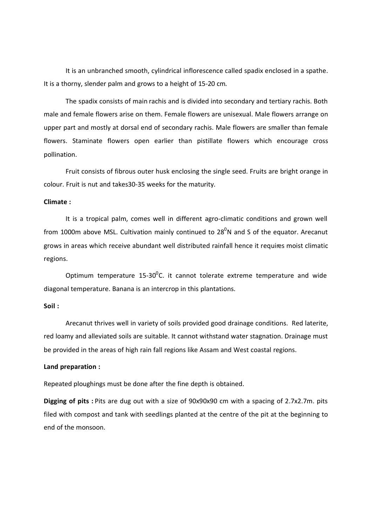It is an unbranched smooth, cylindrical inflorescence called spadix enclosed in a spathe. It is a thorny, slender palm and grows to a height of 15-20 cm.

The spadix consists of main rachis and is divided into secondary and tertiary rachis. Both male and female flowers arise on them. Female flowers are unisexual. Male flowers arrange on upper part and mostly at dorsal end of secondary rachis. Male flowers are smaller than female flowers. Staminate flowers open earlier than pistillate flowers which encourage cross pollination.

Fruit consists of fibrous outer husk enclosing the single seed. Fruits are bright orange in colour. Fruit is nut and takes30-35 weeks for the maturity.

# Climate :

It is a tropical palm, comes well in different agro-climatic conditions and grown well from 1000m above MSL. Cultivation mainly continued to  $28^0$ N and S of the equator. Arecanut grows in areas which receive abundant well distributed rainfall hence it requires moist climatic regions.

Optimum temperature  $15{\cdot}30^0$ C. it cannot tolerate extreme temperature and wide diagonal temperature. Banana is an intercrop in this plantations.

# Soil :

Arecanut thrives well in variety of soils provided good drainage conditions. Red laterite, red loamy and alleviated soils are suitable. It cannot withstand water stagnation. Drainage must be provided in the areas of high rain fall regions like Assam and West coastal regions.

# Land preparation :

Repeated ploughings must be done after the fine depth is obtained.

Digging of pits : Pits are dug out with a size of 90x90x90 cm with a spacing of 2.7x2.7m. pits filed with compost and tank with seedlings planted at the centre of the pit at the beginning to end of the monsoon.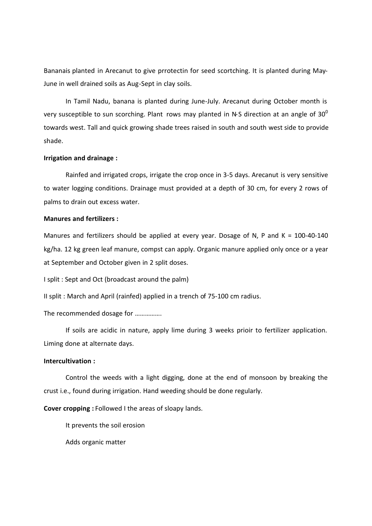Bananais planted in Arecanut to give prrotectin for seed scortching. It is planted during May-June in well drained soils as Aug-Sept in clay soils.

In Tamil Nadu, banana is planted during June-July. Arecanut during October month is very susceptible to sun scorching. Plant rows may planted in N-S direction at an angle of  $30^0$ towards west. Tall and quick growing shade trees raised in south and south west side to provide shade.

# Irrigation and drainage :

Rainfed and irrigated crops, irrigate the crop once in 3-5 days. Arecanut is very sensitive to water logging conditions. Drainage must provided at a depth of 30 cm, for every 2 rows of palms to drain out excess water.

# Manures and fertilizers :

Manures and fertilizers should be applied at every year. Dosage of N, P and K = 100-40-140 kg/ha. 12 kg green leaf manure, compst can apply. Organic manure applied only once or a year at September and October given in 2 split doses.

I split : Sept and Oct (broadcast around the palm)

II split : March and April (rainfed) applied in a trench of 75-100 cm radius.

The recommended dosage for …………….

If soils are acidic in nature, apply lime during 3 weeks prioir to fertilizer application. Liming done at alternate days.

## Intercultivation :

Control the weeds with a light digging, done at the end of monsoon by breaking the crust i.e., found during irrigation. Hand weeding should be done regularly.

Cover cropping : Followed I the areas of sloapy lands.

It prevents the soil erosion

Adds organic matter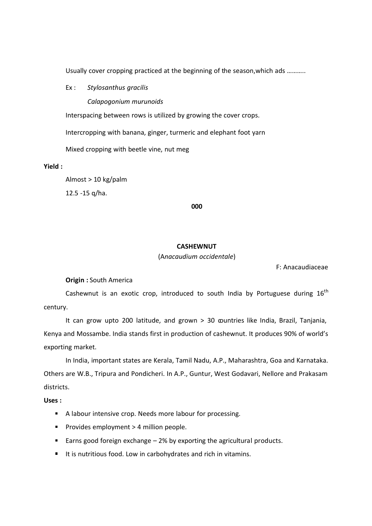Usually cover cropping practiced at the beginning of the season,which ads ……….. Usually cover cropping practiced at the beginning of the season,which ads<br>Ex : Stylosanthus gracilis<br>Calapogonium murunoids<br>Interspacing between rows is utilized by growing the cover crops.<br>Intercropping with banana, ginge

Ex : Stylosanthus gracilis

Calapogonium murunoids

Interspacing between rows is utilized by growing the cover crops.

Intercropping with banana, ginger, turmeric and elephant foot yarn

Mixed cropping with beetle vine, nut meg

Yield :

Almost > 10 kg/palm

000 and the contract of the contract of the contract of the contract of the contract of the contract of the co

#### **CASHEWNUT**

(Anacaudium occidentale)

F: Anacaudiaceae

Origin : South America

Cashewnut is an exotic crop, introduced to south India by Portuguese during  $16<sup>th</sup>$ century.

It can grow upto 200 latitude, and grown > 30 countries like India, Brazil, Tanjania, Kenya and Mossambe. India stands first in production of cashewnut. It produces 90% of world's exporting market.

In India, important states are Kerala, Tamil Nadu, A.P., Maharashtra, Goa and Karnataka. Others are W.B., Tripura and Pondicheri. In A.P., Guntur, West Godavari, Nellore and Prakasam districts.

Uses :

- A labour intensive crop. Needs more labour for processing.
- Provides employment  $> 4$  million people.
- Earns good foreign exchange  $-2\%$  by exporting the agricultural products.
- It is nutritious food. Low in carbohydrates and rich in vitamins.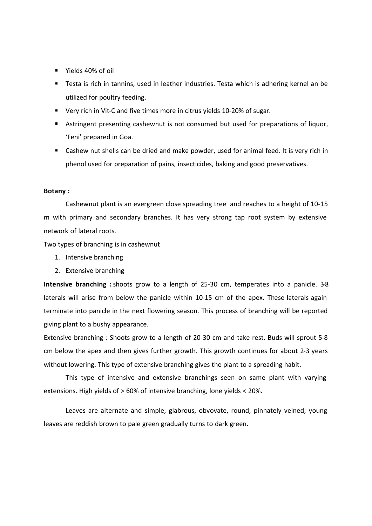- Vields 40% of oil
- Testa is rich in tannins, used in leather industries. Testa which is adhering kernel an be utilized for poultry feeding.
- Very rich in Vit-C and five times more in citrus yields 10-20% of sugar.
- Astringent presenting cashewnut is not consumed but used for preparations of liquor, 'Feni' prepared in Goa.
- Cashew nut shells can be dried and make powder, used for animal feed. It is very rich in phenol used for preparation of pains, insecticides, baking and good preservatives.

## Botany :

Cashewnut plant is an evergreen close spreading tree and reaches to a height of 10-15 m with primary and secondary branches. It has very strong tap root system by extensive network of lateral roots. ■ Very rich in Vit-C and five times more in citrus yields 10-20% of sugar.<br>
■ Astringent presenting cashewnut is not consumed but used for pre<br>
"Feni" prepared in Goa.<br>
■ Cashew nut shells can be dried and make powder, us

Two types of branching is in cashewnut

- 
- 

**Example 12.1**<br>Astringent presenting cashewnut is not consumed but used for pre<br>
"Feni" prepared in Goa.<br> **Extensive branching** can be dried and make powder, used for animal fe<br>
phenol used for preparation of pains, insect Intensive branching : shoots grow to a length of 25-30 cm, temperates into a panicle. 3-8 laterals will arise from below the panicle within 10-15 cm of the apex. These laterals again terminate into panicle in the next flowering season. This process of branching will be reported giving plant to a bushy appearance.

Extensive branching : Shoots grow to a length of 20-30 cm and take rest. Buds will sprout 5-8 cm below the apex and then gives further growth. This growth continues for about 2-3 years without lowering. This type of extensive branching gives the plant to a spreading habit.

This type of intensive and extensive branchings seen on same plant with varying extensions. High yields of > 60% of intensive branching, lone yields < 20%.

Leaves are alternate and simple, glabrous, obvovate, round, pinnately veined; young leaves are reddish brown to pale green gradually turns to dark green.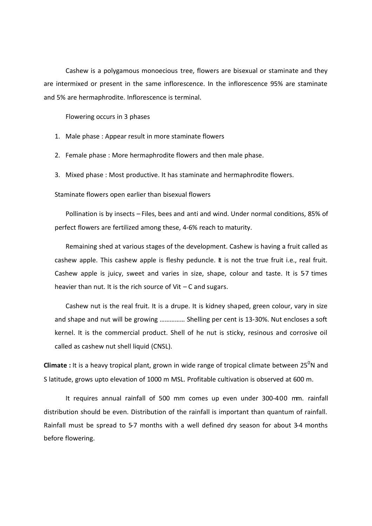Cashew is a polygamous monoecious tree, flowers are bisexual or staminate and they are intermixed or present in the same inflorescence. In the inflorescence 95% are staminate and 5% are hermaphrodite. Inflorescence is terminal. Cashew is a polygamous monoecious tree, flowers are bisexual or staminate<br>
intermixed or present in the same inflorescence. In the inflorescence 95% are s<br>
5% are hermaphrodite. Inflorescence is terminal.<br>
Flowering occurs Cashew is a polygamous monoecious tree, flowers are bisexual or staminate and<br>intermixed or present in the same inflorescence. In the inflorescence 95% are stami<br>5% are hermaphrodite. Inflorescence is terminal.<br>Flowering o Cashew is a polygamous monoecious tree, flowers are bisexual or staminate and they<br>intermixed or present in the same inflorescence. In the inflorescence 95% are staminate<br>5% are hermaphrodite. Inflorescence is terminal.<br>Fl

Flowering occurs in 3 phases

- 
- 
- 

Staminate flowers open earlier than bisexual flowers

Pollination is by insects – Files, bees and anti and wind. Under normal conditions, 85% of perfect flowers are fertilized among these, 4-6% reach to maturity.

Remaining shed at various stages of the development. Cashew is having a fruit called as cashew apple. This cashew apple is fleshy peduncle. It is not the true fruit i.e., real fruit. Cashew apple is juicy, sweet and varies in size, shape, colour and taste. It is 57 times heavier than nut. It is the rich source of Vit – C and sugars.

Cashew nut is the real fruit. It is a drupe. It is kidney shaped, green colour, vary in size and shape and nut will be growing …………… Shelling per cent is 13-30%. Nut encloses a soft kernel. It is the commercial product. Shell of he nut is sticky, resinous and corrosive oil called as cashew nut shell liquid (CNSL).

**Climate :** It is a heavy tropical plant, grown in wide range of tropical climate between  $25^{\circ}$ N and S latitude, grows upto elevation of 1000 m MSL. Profitable cultivation is observed at 600 m.

It requires annual rainfall of 500 mm comes up even under 300-400 mm. rainfall distribution should be even. Distribution of the rainfall is important than quantum of rainfall. Rainfall must be spread to 5-7 months with a well defined dry season for about 3-4 months before flowering.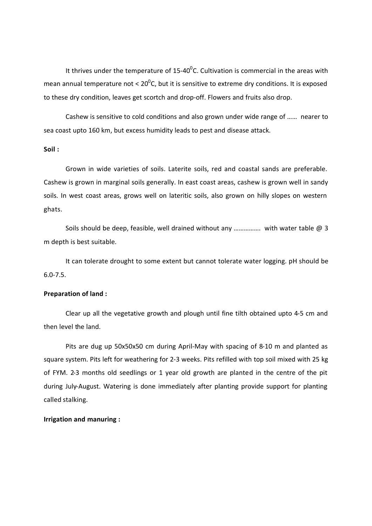It thrives under the temperature of  $15\text{-}40^{\circ}$ C. Cultivation is commercial in the areas with mean annual temperature not  $< 20^{\circ}$ C, but it is sensitive to extreme dry conditions. It is exposed to these dry condition, leaves get scortch and drop-off. Flowers and fruits also drop.

Cashew is sensitive to cold conditions and also grown under wide range of …… nearer to sea coast upto 160 km, but excess humidity leads to pest and disease attack.

# Soil :

Grown in wide varieties of soils. Laterite soils, red and coastal sands are preferable. Cashew is grown in marginal soils generally. In east coast areas, cashew is grown well in sandy soils. In west coast areas, grows well on lateritic soils, also grown on hilly slopes on western ghats.

Soils should be deep, feasible, well drained without any ................. with water table  $\omega$  3 m depth is best suitable.

It can tolerate drought to some extent but cannot tolerate water logging. pH should be 6.0-7.5.

#### Preparation of land :

Clear up all the vegetative growth and plough until fine tilth obtained upto 4-5 cm and then level the land.

Pits are dug up 50x50x50 cm during April-May with spacing of 8-10 m and planted as square system. Pits left for weathering for 2-3 weeks. Pits refilled with top soil mixed with 25 kg of FYM. 2-3 months old seedlings or 1 year old growth are planted in the centre of the pit during July-August. Watering is done immediately after planting provide support for planting called stalking.

# Irrigation and manuring :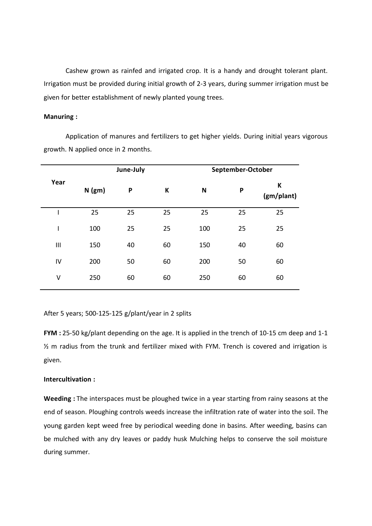# Manuring :

|                    |                                                              |                                        |             |                           |                        | Cashew grown as rainfed and irrigated crop. It is a handy and drought tolerant plant.            |
|--------------------|--------------------------------------------------------------|----------------------------------------|-------------|---------------------------|------------------------|--------------------------------------------------------------------------------------------------|
|                    |                                                              |                                        |             |                           |                        | Irrigation must be provided during initial growth of 2-3 years, during summer irrigation must be |
|                    | given for better establishment of newly planted young trees. |                                        |             |                           |                        |                                                                                                  |
| <b>Manuring:</b>   |                                                              |                                        |             |                           |                        |                                                                                                  |
|                    |                                                              |                                        |             |                           |                        | Application of manures and fertilizers to get higher yields. During initial years vigorous       |
|                    | growth. N applied once in 2 months.                          |                                        |             |                           |                        |                                                                                                  |
| Year               | $N$ (gm)                                                     | June-July<br>$\boldsymbol{\mathsf{P}}$ | $\mathsf K$ | $\boldsymbol{\mathsf{N}}$ | September-October<br>P | К<br>(gm/plant)                                                                                  |
| T                  | 25                                                           | 25                                     | 25          | 25                        | 25                     | 25                                                                                               |
|                    | 100                                                          | 25                                     | 25          | 100                       | 25                     | 25                                                                                               |
| $\mathop{\rm III}$ | 150                                                          | 40                                     | 60          | 150                       | 40                     | 60                                                                                               |
| IV                 | 200                                                          | 50                                     | 60          | 200                       | 50                     | 60                                                                                               |

FYM : 25-50 kg/plant depending on the age. It is applied in the trench of 10-15 cm deep and 1-1 ½ m radius from the trunk and fertilizer mixed with FYM. Trench is covered and irrigation is given.

# Intercultivation :

Weeding : The interspaces must be ploughed twice in a year starting from rainy seasons at the end of season. Ploughing controls weeds increase the infiltration rate of water into the soil. The young garden kept weed free by periodical weeding done in basins. After weeding, basins can be mulched with any dry leaves or paddy husk Mulching helps to conserve the soil moisture during summer.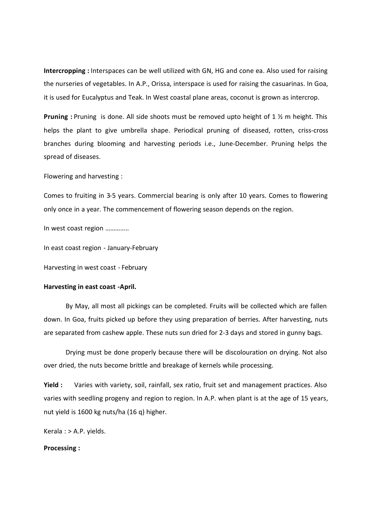Intercropping : Interspaces can be well utilized with GN, HG and cone ea. Also used for raising the nurseries of vegetables. In A.P., Orissa, interspace is used for raising the casuarinas. In Goa, it is used for Eucalyptus and Teak. In West coastal plane areas, coconut is grown as intercrop.

Pruning : Pruning is done. All side shoots must be removed upto height of 1 ½ m height. This helps the plant to give umbrella shape. Periodical pruning of diseased, rotten, criss-cross branches during blooming and harvesting periods i.e., June-December. Pruning helps the spread of diseases.

Flowering and harvesting :

Comes to fruiting in 3-5 years. Commercial bearing is only after 10 years. Comes to flowering only once in a year. The commencement of flowering season depends on the region.

In west coast region …………..

In east coast region - January-February

Harvesting in west coast - February

#### Harvesting in east coast -April.

By May, all most all pickings can be completed. Fruits will be collected which are fallen down. In Goa, fruits picked up before they using preparation of berries. After harvesting, nuts are separated from cashew apple. These nuts sun dried for 2-3 days and stored in gunny bags.

Drying must be done properly because there will be discolouration on drying. Not also over dried, the nuts become brittle and breakage of kernels while processing.

Yield : Varies with variety, soil, rainfall, sex ratio, fruit set and management practices. Also varies with seedling progeny and region to region. In A.P. when plant is at the age of 15 years, nut yield is 1600 kg nuts/ha (16 q) higher.

Kerala : > A.P. yields.

# Processing :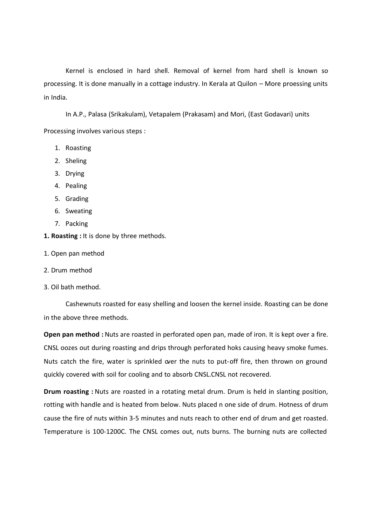Kernel is enclosed in hard shell. Removal of kernel from hard shell is known so processing. It is done manually in a cottage industry. In Kerala at Quilon – More proessing units in India. Kernel is enclosed in hard shell. Removal of kernel from hard<br>
ressing. It is done manually in a cottage industry. In Kerala at Quilon – M<br>
India.<br>
In A.P., Palasa (Srikakulam), Vetapalem (Prakasam) and Mori, (East G<br>
ress Kernel is enclosed in hard shell. Removal of kernel from hard<br>cessing. It is done manually in a cottage industry. In Kerala at Quilon – M<br>dia.<br>In A.P., Palasa (Srikakulam), Vetapalem (Prakasam) and Mori, (East G<br>ressing in Kernel is enclosed in hard shell. Removal of kernel from hard<br>cessing. It is done manually in a cottage industry. In Kerala at Quilon – M<br>dia.<br>In A.P., Palasa (Srikakulam), Vetapalem (Prakasam) and Mori, (East G<br>cessing in Kernel is enclosed in hard shell. Removal of kernel from hard<br>cessing. It is done manually in a cottage industry. In Kerala at Quilon – M<br>dia.<br>In A.P., Palasa (Srikakulam), Vetapalem (Prakasam) and Mori, (East G<br>cessing in Kernel is enclosed in hard shell. Removal of kernel from hard<br>cessing. It is done manually in a cottage industry. In Kerala at Quilon – M<br>dia.<br>In A.P., Palasa (Srikakulam), Vetapalem (Prakasam) and Mori, (East G<br>cessing in Kernel is enclosed in hard shell. Removal of kernel from hard<br>cessing. It is done manually in a cottage industry. In Kerala at Quilon – M<br>dia.<br>In A.P., Palasa (Srikakulam), Vetapalem (Prakasam) and Mori, (East G<br>cessing in Kernel is enclosed in hard shell. Removal of kernel from hard<br>cessing. It is done manually in a cottage industry. In Kerala at Quilon – M<br>dia.<br>In A.P., Palasa (Srikakulam), Vetapalem (Prakasam) and Mori, (East Gi<br>cessing i

In A.P., Palasa (Srikakulam), Vetapalem (Prakasam) and Mori, (East Godavari) units Processing involves various steps :

- 
- 
- 
- 
- 
- 
- 
- 1. Roasting : It is done by three methods.
- 1. Open pan method
- 2. Drum method
- 3. Oil bath method.

Cashewnuts roasted for easy shelling and loosen the kernel inside. Roasting can be done in the above three methods.

Open pan method : Nuts are roasted in perforated open pan, made of iron. It is kept over a fire. CNSL oozes out during roasting and drips through perforated hoks causing heavy smoke fumes. Nuts catch the fire, water is sprinkled over the nuts to put-off fire, then thrown on ground quickly covered with soil for cooling and to absorb CNSL.CNSL not recovered.

Drum roasting : Nuts are roasted in a rotating metal drum. Drum is held in slanting position, rotting with handle and is heated from below. Nuts placed n one side of drum. Hotness of drum cause the fire of nuts within 3-5 minutes and nuts reach to other end of drum and get roasted. Temperature is 100-1200C. The CNSL comes out, nuts burns. The burning nuts are collected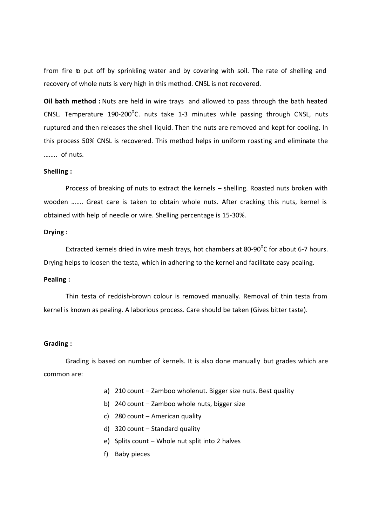from fire to put off by sprinkling water and by covering with soil. The rate of shelling and recovery of whole nuts is very high in this method. CNSL is not recovered.

Oil bath method : Nuts are held in wire trays and allowed to pass through the bath heated CNSL. Temperature 190-200 $^0$ C. nuts take 1-3 minutes while passing through CNSL, nuts ruptured and then releases the shell liquid. Then the nuts are removed and kept for cooling. In this process 50% CNSL is recovered. This method helps in uniform roasting and eliminate the …….. of nuts.

## Shelling :

Process of breaking of nuts to extract the kernels – shelling. Roasted nuts broken with wooden ……. Great care is taken to obtain whole nuts. After cracking this nuts, kernel is obtained with help of needle or wire. Shelling percentage is 15-30%.

## Drying :

Extracted kernels dried in wire mesh trays, hot chambers at 80-90 $^{\circ}$ C for about 6-7 hours. Drying helps to loosen the testa, which in adhering to the kernel and facilitate easy pealing.

## Pealing :

Thin testa of reddish-brown colour is removed manually. Removal of thin testa from kernel is known as pealing. A laborious process. Care should be taken (Gives bitter taste). rnels dried in wire mesh trays, hot chambers at 80-90<sup>0</sup>C for about 6-7 hours.<br>
In the testa, which in adhering to the kernel and facilitate easy pealing.<br>
In eddish-brown colour is removed manually. Removal of thin testa mels dried in wire mesh trays, hot chambers at 80-90°C for about 6-7 hours.<br>
In the testa, which in adhering to the kernel and facilitate easy pealing.<br>
In the testa, which in adhering to the kernel and facilitate easy pea en the testa, which in adhering to the kernel and facilitate easy pealing.<br>
In teddish-brown colour is removed manually. Removal of thin testa free<br>
ealing. A laborious process. Care should be taken (Gives bitter taste).<br> Freddish-brown colour is removed manually. Removal of thin testa freeding. A laborious process. Care should be taken (Gives bitter taste).<br>
1980 count – Standard Muslem (Gives bitter taste).<br>
1980 count – Zamboo wholenut. Freddish-brown colour is removed manually. Removal of thin testa freeding. A laborious process. Care should be taken (Gives bitter taste).<br>
Specifical count – Whole nut split into 2 halves the split into 2 halves which and

#### Grading :

Grading is based on number of kernels. It is also done manually but grades which are common are: Franklin Color is Felhoved Infantally. Removal of thin testa its<br>ealing. A laborious process. Care should be taken (Gives bitter taste).<br>and a laborious process. Care should be taken (Gives bitter taste).<br>and a laborious p

- 
- 
- 
- 
- 
-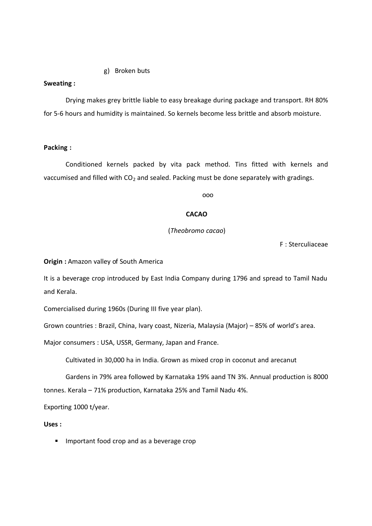## Sweating :

g) Broken buts<br>s grey brittle liable to easy breakage during package and transport. RH 8<br>midity is maintained. So kernels become less brittle and absorb moisture Drying makes grey brittle liable to easy breakage during package and transport. RH 80% for 5-6 hours and humidity is maintained. So kernels become less brittle and absorb moisture.

# Packing :

Conditioned kernels packed by vita pack method. Tins fitted with kernels and vaccumised and filled with  $CO<sub>2</sub>$  and sealed. Packing must be done separately with gradings.

ooo aan ah dhaqaala ah dhaqaala ah dhaqaala ah dhaqaala ah dhaqaala ah dhaqaala ah dhaqaala ah dhaqaala ah dha<br>Aanaan ah dhaqaala ah dhaqaala ah dhaqaala ah dhaqaala ah dhaqaala ah dhaqaala ah dhaqaala ah dhaqaala ah dhaq

## CACAO

# (Theobromo cacao)

F : Sterculiaceae

Origin : Amazon valley of South America

It is a beverage crop introduced by East India Company during 1796 and spread to Tamil Nadu and Kerala.

Comercialised during 1960s (During III five year plan).

Grown countries : Brazil, China, Ivary coast, Nizeria, Malaysia (Major) – 85% of world's area.

Major consumers : USA, USSR, Germany, Japan and France.

Cultivated in 30,000 ha in India. Grown as mixed crop in coconut and arecanut

Gardens in 79% area followed by Karnataka 19% aand TN 3%. Annual production is 8000 tonnes. Kerala – 71% production, Karnataka 25% and Tamil Nadu 4%.

Exporting 1000 t/year.

Uses :

**Important food crop and as a beverage crop**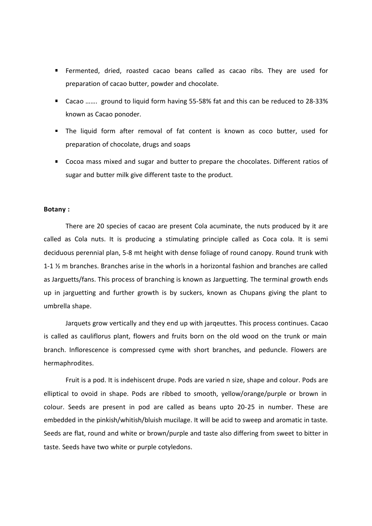- Fermented, dried, roasted cacao beans called as cacao ribs. They are used for preparation of cacao butter, powder and chocolate.
- known as Cacao ponoder.
- Fermented, dried, roasted cacao beans called as cacao ribs. They are used for<br>preparation of cacao butter, powder and chocolate.<br>Cacao …….. ground to liquid form having 55-58% fat and this can be reduced to 28-33%<br>known as The liquid form after removal of fat content is known as coco butter, used for preparation of chocolate, drugs and soaps
- Cocoa mass mixed and sugar and butter to prepare the chocolates. Different ratios of sugar and butter milk give different taste to the product.

## Botany :

There are 20 species of cacao are present Cola acuminate, the nuts produced by it are called as Cola nuts. It is producing a stimulating principle called as Coca cola. It is semi deciduous perennial plan, 5-8 mt height with dense foliage of round canopy. Round trunk with 1-1 ½ m branches. Branches arise in the whorls in a horizontal fashion and branches are called as Jarguetts/fans. This process of branching is known as Jarguetting. The terminal growth ends up in jarguetting and further growth is by suckers, known as Chupans giving the plant to umbrella shape.

Jarquets grow vertically and they end up with jarqeuttes. This process continues. Cacao is called as cauliflorus plant, flowers and fruits born on the old wood on the trunk or main branch. Inflorescence is compressed cyme with short branches, and peduncle. Flowers are hermaphrodites.

Fruit is a pod. It is indehiscent drupe. Pods are varied n size, shape and colour. Pods are elliptical to ovoid in shape. Pods are ribbed to smooth, yellow/orange/purple or brown in colour. Seeds are present in pod are called as beans upto 20-25 in number. These are embedded in the pinkish/whitish/bluish mucilage. It will be acid to sweep and aromatic in taste. Seeds are flat, round and white or brown/purple and taste also differing from sweet to bitter in taste. Seeds have two white or purple cotyledons.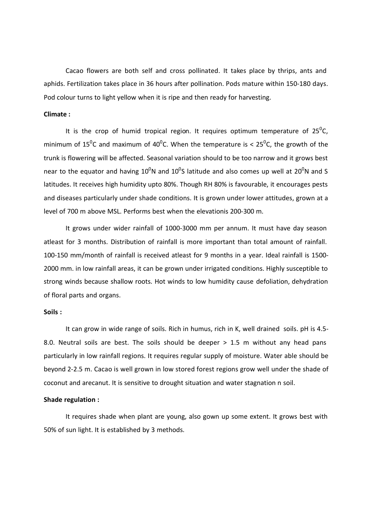Cacao flowers are both self and cross pollinated. It takes place by thrips, ants and aphids. Fertilization takes place in 36 hours after pollination. Pods mature within 150-180 days. Pod colour turns to light yellow when it is ripe and then ready for harvesting.

## Climate :

It is the crop of humid tropical region. It requires optimum temperature of  $25^{\circ}$ C, minimum of  $15^0C$  and maximum of  $40^0C$ . When the temperature is <  $25^0C$ , the growth of the trunk is flowering will be affected. Seasonal variation should to be too narrow and it grows best near to the equator and having 10<sup>0</sup>N and 10<sup>0</sup>S latitude and also comes up well at 20<sup>0</sup>N and S latitudes. It receives high humidity upto 80%. Though RH 80% is favourable, it encourages pests and diseases particularly under shade conditions. It is grown under lower attitudes, grown at a level of 700 m above MSL. Performs best when the elevationis 200-300 m.

It grows under wider rainfall of 1000-3000 mm per annum. It must have day season atleast for 3 months. Distribution of rainfall is more important than total amount of rainfall. 100-150 mm/month of rainfall is received atleast for 9 months in a year. Ideal rainfall is 1500- 2000 mm. in low rainfall areas, it can be grown under irrigated conditions. Highly susceptible to strong winds because shallow roots. Hot winds to low humidity cause defoliation, dehydration of floral parts and organs.

# Soils :

It can grow in wide range of soils. Rich in humus, rich in K, well drained soils. pH is 4.5- 8.0. Neutral soils are best. The soils should be deeper > 1.5 m without any head pans particularly in low rainfall regions. It requires regular supply of moisture. Water able should be beyond 2-2.5 m. Cacao is well grown in low stored forest regions grow well under the shade of coconut and arecanut. It is sensitive to drought situation and water stagnation n soil.

# Shade regulation :

It requires shade when plant are young, also gown up some extent. It grows best with 50% of sun light. It is established by 3 methods.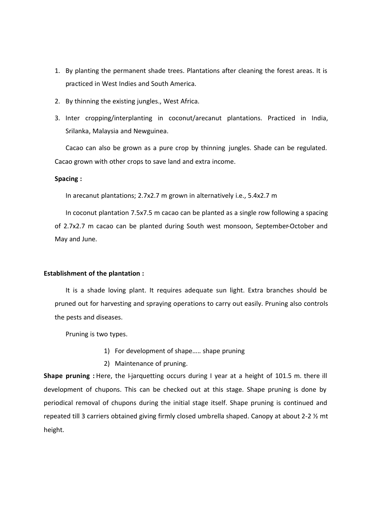- 2. By planting the permanent shade trees. Plantations after cleaning the forest areas. It is<br>practiced in West Indies and South America.<br>2. By thinning the existing jungles., West Africa.<br>2. Inter-examine (interplanting practiced in West Indies and South America.
- 
- 2. By planting the permanent shade trees. Plantations after cleaning the practiced in West Indies and South America.<br>2. By thinning the existing jungles., West Africa.<br>3. Inter cropping/interplanting in coconut/arecanut pl 3. Inter cropping/interplanting in soconut/arecanut plantations after seaming the forest areas. It is<br>3. Inter cropping/interplanting in coconut/arecanut plantations. Practiced in India,<br>3. Inter cropping/interplanting in Srilanka, Malaysia and Newguinea.

Cacao can also be grown as a pure crop by thinning jungles. Shade can be regulated. Cacao grown with other crops to save land and extra income.

# Spacing :

In arecanut plantations; 2.7x2.7 m grown in alternatively i.e., 5.4x2.7 m

In coconut plantation 7.5x7.5 m cacao can be planted as a single row following a spacing of 2.7x2.7 m cacao can be planted during South west monsoon, September-October and May and June.

# Establishment of the plantation :

It is a shade loving plant. It requires adequate sun light. Extra branches should be pruned out for harvesting and spraying operations to carry out easily. Pruning also controls the pests and diseases. Iantations; 2.7x2.7 m grown in alternatively i.e., 5.4x2.7 m<br>antation 7.5x7.5 m cacao can be planted as a single row following a spacing<br>cao can be planted during South west monsoon, September-October and<br>e **plantation**:<br>l

Pruning is two types.

- 
- 

antation 7.5x7.5 m cacao can be planted as a single row following a space<br>
cao can be planted during South west monsoon, September-October a<br>
e **plantation :**<br>
loving plant. It requires adequate sun light. Extra branches s Shape pruning : Here, the I-jarquetting occurs during I year at a height of 101.5 m. there ill development of chupons. This can be checked out at this stage. Shape pruning is done by periodical removal of chupons during the initial stage itself. Shape pruning is continued and repeated till 3 carriers obtained giving firmly closed umbrella shaped. Canopy at about 2-2 ½ mt height.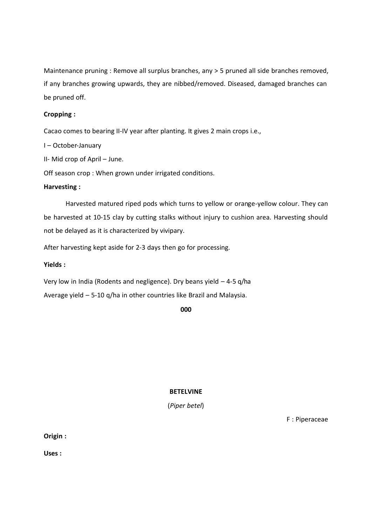Maintenance pruning : Remove all surplus branches, any > 5 pruned all side branches removed, if any branches growing upwards, they are nibbed/removed. Diseased, damaged branches can be pruned off. Maintenance pruning : Remove all surplus branches, any > 5 pruned a<br>If any branches growing upwards, they are nibbed/removed. Diseased<br>be pruned off.<br>Cropping :<br>I – October-January<br>II– Mid crop of April – June.<br>Off season

# Cropping :

Cacao comes to bearing II-IV year after planting. It gives 2 main crops i.e.,

II- Mid crop of April – June.

Off season crop : When grown under irrigated conditions.

# Harvesting :

Harvested matured riped pods which turns to yellow or orange-yellow colour. They can be harvested at 10-15 clay by cutting stalks without injury to cushion area. Harvesting should not be delayed as it is characterized by vivipary.

After harvesting kept aside for 2-3 days then go for processing.

# Yields :

Very low in India (Rodents and negligence). Dry beans yield – 4-5 q/ha Average yield – 5-10 q/ha in other countries like Brazil and Malaysia.

000 and the contract of the contract of the contract of the contract of the contract of the contract of the co

# **BETELVINE**

(Piper betel)

F : Piperaceae

Origin :

Uses :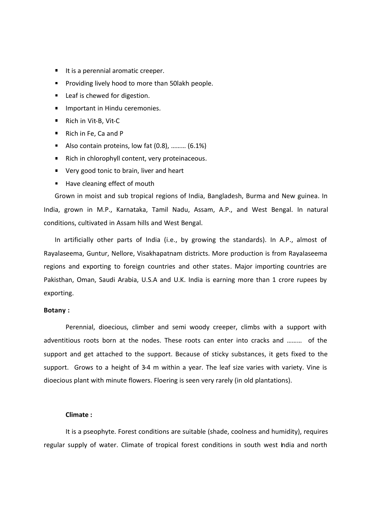- $\blacksquare$  It is a perennial aromatic creeper.
- **Providing lively hood to more than 50 lakh people.**
- Leaf is chewed for digestion.
- **Important in Hindu ceremonies.**
- Rich in Vit-B, Vit-C
- Rich in Fe, Ca and P
- Also contain proteins, low fat (0.8), ……… (6.1%)
- Rich in chlorophyll content, very proteinaceous.
- Very good tonic to brain, liver and heart
- Have cleaning effect of mouth

Grown in moist and sub tropical regions of India, Bangladesh, Burma and New guinea. In India, grown in M.P., Karnataka, Tamil Nadu, Assam, A.P., and West Bengal. In natural conditions, cultivated in Assam hills and West Bengal.

In artificially other parts of India (i.e., by growing the standards). In A.P., almost of Rayalaseema, Guntur, Nellore, Visakhapatnam districts. More production is from Rayalaseema regions and exporting to foreign countries and other states. Major importing countries are Pakisthan, Oman, Saudi Arabia, U.S.A and U.K. India is earning more than 1 crore rupees by exporting.

#### Botany :

Perennial, dioecious, climber and semi woody creeper, climbs with a support with adventitious roots born at the nodes. These roots can enter into cracks and ……… of the support and get attached to the support. Because of sticky substances, it gets fixed to the support. Grows to a height of 3-4 m within a year. The leaf size varies with variety. Vine is dioecious plant with minute flowers. Floering is seen very rarely (in old plantations).

# Climate :

It is a pseophyte. Forest conditions are suitable (shade, coolness and humidity), requires regular supply of water. Climate of tropical forest conditions in south west India and north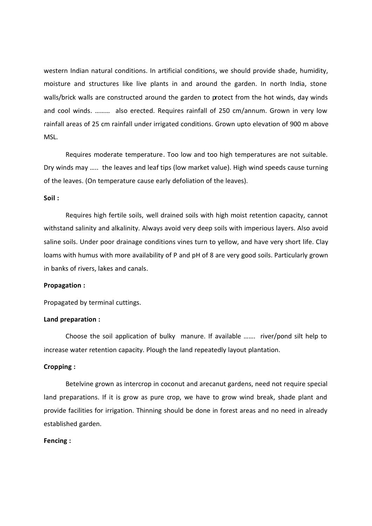western Indian natural conditions. In artificial conditions, we should provide shade, humidity, moisture and structures like live plants in and around the garden. In north India, stone walls/brick walls are constructed around the garden to protect from the hot winds, day winds and cool winds. ……… also erected. Requires rainfall of 250 cm/annum. Grown in very low rainfall areas of 25 cm rainfall under irrigated conditions. Grown upto elevation of 900 m above MSL.

Requires moderate temperature. Too low and too high temperatures are not suitable. Dry winds may ….. the leaves and leaf tips (low market value). High wind speeds cause turning of the leaves. (On temperature cause early defoliation of the leaves).

#### Soil :

Requires high fertile soils, well drained soils with high moist retention capacity, cannot withstand salinity and alkalinity. Always avoid very deep soils with imperious layers. Also avoid saline soils. Under poor drainage conditions vines turn to yellow, and have very short life. Clay loams with humus with more availability of P and pH of 8 are very good soils. Particularly grown in banks of rivers, lakes and canals.

#### Propagation :

Propagated by terminal cuttings.

## Land preparation :

Choose the soil application of bulky manure. If available ……. river/pond silt help to increase water retention capacity. Plough the land repeatedly layout plantation.

## Cropping :

Betelvine grown as intercrop in coconut and arecanut gardens, need not require special land preparations. If it is grow as pure crop, we have to grow wind break, shade plant and provide facilities for irrigation. Thinning should be done in forest areas and no need in already established garden.

# Fencing :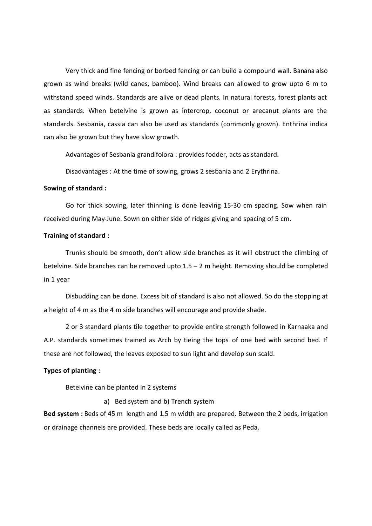Very thick and fine fencing or borbed fencing or can build a compound wall. Banana also grown as wind breaks (wild canes, bamboo). Wind breaks can allowed to grow upto 6 m to withstand speed winds. Standards are alive or dead plants. In natural forests, forest plants act Very thick and fine fencing or borbed fencing or can build a compound wall. Banana also<br>grown as wind breaks (wild canes, bamboo). Wind breaks can allowed to grow upto 6 m to<br>withstand speed winds. Standards are alive or d standards. Sesbania, cassia can also be used as standards (commonly grown). Enthrina indica can also be grown but they have slow growth.

Advantages of Sesbania grandifolora : provides fodder, acts as standard.

Disadvantages : At the time of sowing, grows 2 sesbania and 2 Erythrina.

# Sowing of standard :

Go for thick sowing, later thinning is done leaving 15-30 cm spacing. Sow when rain received during May-June. Sown on either side of ridges giving and spacing of 5 cm.

## Training of standard :

Trunks should be smooth, don't allow side branches as it will obstruct the climbing of betelvine. Side branches can be removed upto 1.5 – 2 m height. Removing should be completed in 1 year

Disbudding can be done. Excess bit of standard is also not allowed. So do the stopping at a height of 4 m as the 4 m side branches will encourage and provide shade.

2 or 3 standard plants tile together to provide entire strength followed in Karnaaka and A.P. standards sometimes trained as Arch by tieing the tops of one bed with second bed. If these are not followed, the leaves exposed to sun light and develop sun scald. d be smooth, don't allow side branches as it will obstruct the climbing of<br>ches can be removed upto 1.5 – 2 m height. Removing should be completed<br>an be done. Excess bit of standard is also not allowed. So do the stopping

## Types of planting :

Betelvine can be planted in 2 systems

Bed system : Beds of 45 m length and 1.5 m width are prepared. Between the 2 beds, irrigation or drainage channels are provided. These beds are locally called as Peda.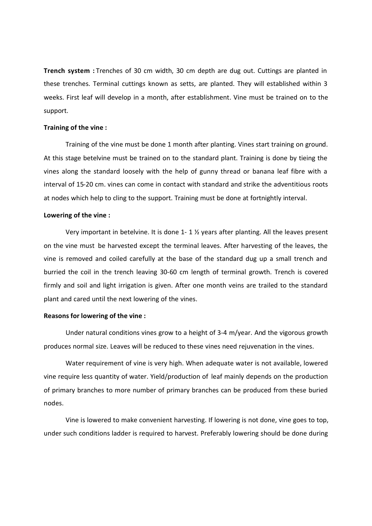Trench system : Trenches of 30 cm width, 30 cm depth are dug out. Cuttings are planted in these trenches. Terminal cuttings known as setts, are planted. They will established within 3 weeks. First leaf will develop in a month, after establishment. Vine must be trained on to the support.

#### Training of the vine :

Training of the vine must be done 1 month after planting. Vines start training on ground. At this stage betelvine must be trained on to the standard plant. Training is done by tieing the vines along the standard loosely with the help of gunny thread or banana leaf fibre with a interval of 15-20 cm. vines can come in contact with standard and strike the adventitious roots at nodes which help to cling to the support. Training must be done at fortnightly interval.

## Lowering of the vine :

Very important in betelvine. It is done  $1 - 1$  % years after planting. All the leaves present on the vine must be harvested except the terminal leaves. After harvesting of the leaves, the vine is removed and coiled carefully at the base of the standard dug up a small trench and burried the coil in the trench leaving 30-60 cm length of terminal growth. Trench is covered firmly and soil and light irrigation is given. After one month veins are trailed to the standard plant and cared until the next lowering of the vines. Very important in betelvine. It is done 1-1 % years after planting. All the leaves present<br>on the vine must be harvested except the terminal leaves. After harvesting of the leaves, the<br>vine is removed and coiled carefully

#### Reasons for lowering of the vine :

Under natural conditions vines grow to a height of 3-4 m/year. And the vigorous growth produces normal size. Leaves will be reduced to these vines need rejuvenation in the vines.

Water requirement of vine is very high. When adequate water is not available, lowered of primary branches to more number of primary branches can be produced from these buried nodes.

Vine is lowered to make convenient harvesting. If lowering is not done, vine goes to top, under such conditions ladder is required to harvest. Preferably lowering should be done during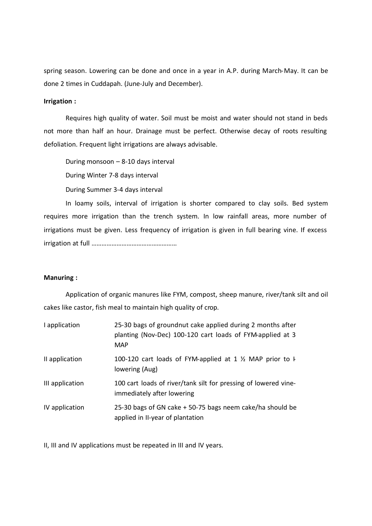spring season. Lowering can be done and once in a year in A.P. during March-May. It can be done 2 times in Cuddapah. (June-July and December).

## Irrigation :

Requires high quality of water. Soil must be moist and water should not stand in beds not more than half an hour. Drainage must be perfect. Otherwise decay of roots resulting defoliation. Frequent light irrigations are always advisable. season. Lowering can be done and once in a year in A.P. during March-May. It can b<br>times in Cuddapah. (June-July and December).<br>During Winters high quality of water. Soil must be moist and water should not stand in bed<br>ore

During monsoon – 8-10 days interval During Summer 3-4 days interval

In loamy soils, interval of irrigation is shorter compared to clay soils. Bed system requires more irrigation than the trench system. In low rainfall areas, more number of irrigations must be given. Less frequency of irrigation is given in full bearing vine. If excess irrigation at full ……………………………………………

## Manuring :

|                  | In loamy soils, interval of irrigation is shorter compared to clay soils. Bed system                                                  |
|------------------|---------------------------------------------------------------------------------------------------------------------------------------|
|                  | requires more irrigation than the trench system. In low rainfall areas, more number of                                                |
|                  | irrigations must be given. Less frequency of irrigation is given in full bearing vine. If excess                                      |
|                  |                                                                                                                                       |
|                  |                                                                                                                                       |
| <b>Manuring:</b> |                                                                                                                                       |
|                  | Application of organic manures like FYM, compost, sheep manure, river/tank silt and oil                                               |
|                  | cakes like castor, fish meal to maintain high quality of crop.                                                                        |
| I application    | 25-30 bags of groundnut cake applied during 2 months after<br>planting (Nov-Dec) 100-120 cart loads of FYM-applied at 3<br><b>MAP</b> |
| II application   | 100-120 cart loads of FYM-applied at 1 % MAP prior to F<br>lowering (Aug)                                                             |
| III application  | 100 cart loads of river/tank silt for pressing of lowered vine-<br>immediately after lowering                                         |
| IV application   | 25-30 bags of GN cake + 50-75 bags neem cake/ha should be<br>applied in II-year of plantation                                         |
|                  | II, III and IV applications must be repeated in III and IV years.                                                                     |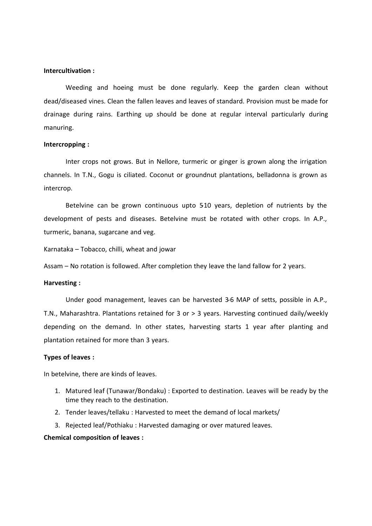## Intercultivation :

Weeding and hoeing must be done regularly. Keep the garden clean without dead/diseased vines. Clean the fallen leaves and leaves of standard. Provision must be made for drainage during rains. Earthing up should be done at regular interval particularly during manuring. dead/diseased vines. Clean the fallen leaves and leaves of standard. Provision m<br>drainage during rains. Earthing up should be done at regular interval pa<br>manuring.<br>Intercropping:<br>Intercropping:<br>Intercrops not grows. But in

## Intercropping :

Inter crops not grows. But in Nellore, turmeric or ginger is grown along the irrigation channels. In T.N., Gogu is ciliated. Coconut or groundnut plantations, belladonna is grown as intercrop.

Betelvine can be grown continuous upto 510 years, depletion of nutrients by the development of pests and diseases. Betelvine must be rotated with other crops. In A.P., turmeric, banana, sugarcane and veg. drainage during rains. Earthing up should be done at regular interval particularly during<br>manuring.<br>
Intercropping :<br>
Intercropping :<br>
Intercrops not grows. But in Nellore, turmeric or ginger is grown along the irrigation<br>

# Harvesting :

Under good management, leaves can be harvested 3-6 MAP of setts, possible in A.P., T.N., Maharashtra. Plantations retained for 3 or > 3 years. Harvesting continued daily/weekly depending on the demand. In other states, harvesting starts 1 year after planting and plantation retained for more than 3 years. 1. Matured leaf (Tunawar/Bondaku) : Exported to destination. Leaves will be ready by the small control on the ready by the ready of setts, possible in A.P., whaharashtra. Plantations retained for 3 or > 3 years. Harvestin am – No rotation is followed. After completion they leave the land fallow for 2 years.<br>
vesting:<br>
Under good management, leaves can be harvested 3-6 MAP of setts, possible in A.P.,<br>
1., Maharashtra. Plantations retained fo 2. The proceed is considerated the sumplement and yeared the leaft of setts, possible in A.F.<br>3. Maharashtra. Plantations retained for 3 or > 3 years. Harvesting continued daily/week<br>ending on the demand. In other states,

## Types of leaves :

In betelvine, there are kinds of leaves.

- time they reach to the destination.
- 
- 

## Chemical composition of leaves :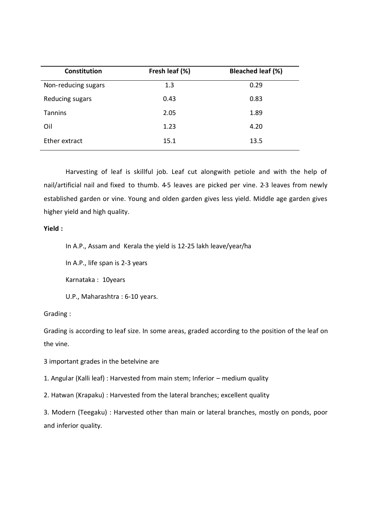| Constitution        | Fresh leaf (%)                                                                      | <b>Bleached leaf (%)</b> |
|---------------------|-------------------------------------------------------------------------------------|--------------------------|
| Non-reducing sugars | 1.3                                                                                 | 0.29                     |
| Reducing sugars     | 0.43                                                                                | 0.83                     |
| Tannins             | 2.05                                                                                | 1.89                     |
|                     |                                                                                     | 4.20                     |
| Oil                 | 1.23                                                                                |                          |
| Ether extract       | 15.1                                                                                | 13.5                     |
|                     |                                                                                     |                          |
|                     | Harvesting of leaf is skillful job. Leaf cut alongwith petiole and with the help of |                          |

Harvesting of leaf is skillful job. Leaf cut alongwith petiole and with the help of nail/artificial nail and fixed to thumb. 4-5 leaves are picked per vine. 2-3 leaves from newly established garden or vine. Young and olden garden gives less yield. Middle age garden gives higher yield and high quality.

## Yield :

In A.P., Assam and Kerala the yield is 12-25 lakh leave/year/ha

In A.P., life span is 2-3 years

Karnataka : 10years

U.P., Maharashtra : 6-10 years.

Grading :

Grading is according to leaf size. In some areas, graded according to the position of the leaf on the vine.

3 important grades in the betelvine are

1. Angular (Kalli leaf) : Harvested from main stem; Inferior – medium quality

2. Hatwan (Krapaku) : Harvested from the lateral branches; excellent quality

3. Modern (Teegaku) : Harvested other than main or lateral branches, mostly on ponds, poor and inferior quality.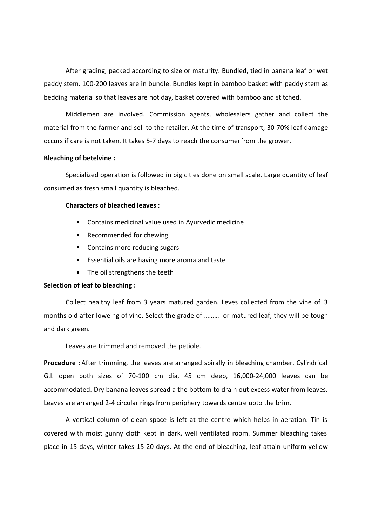After grading, packed according to size or maturity. Bundled, tied in banana leaf or wet paddy stem. 100-200 leaves are in bundle. Bundles kept in bamboo basket with paddy stem as bedding material so that leaves are not day, basket covered with bamboo and stitched.

Middlemen are involved. Commission agents, wholesalers gather and collect the material from the farmer and sell to the retailer. At the time of transport, 30-70% leaf damage occurs if care is not taken. It takes 5-7 days to reach the consumer from the grower.

## Bleaching of betelvine :

Specialized operation is followed in big cities done on small scale. Large quantity of leaf consumed as fresh small quantity is bleached.

## Characters of bleached leaves :

- **Contains medicinal value used in Ayurvedic medicine**
- Recommended for chewing
- Contains more reducing sugars
- Essential oils are having more aroma and taste
- The oil strengthens the teeth

# Selection of leaf to bleaching :

Collect healthy leaf from 3 years matured garden. Leves collected from the vine of 3 months old after loweing of vine. Select the grade of ……… or matured leaf, they will be tough and dark green.

Leaves are trimmed and removed the petiole.

Procedure : After trimming, the leaves are arranged spirally in bleaching chamber. Cylindrical G.I. open both sizes of 70-100 cm dia, 45 cm deep, 16,000-24,000 leaves can be accommodated. Dry banana leaves spread a the bottom to drain out excess water from leaves. Leaves are arranged 2-4 circular rings from periphery towards centre upto the brim.

A vertical column of clean space is left at the centre which helps in aeration. Tin is covered with moist gunny cloth kept in dark, well ventilated room. Summer bleaching takes place in 15 days, winter takes 15-20 days. At the end of bleaching, leaf attain uniform yellow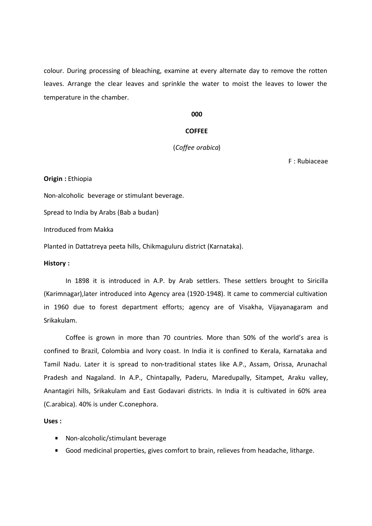colour. During processing of bleaching, examine at every alternate day to remove the rotten leaves. Arrange the clear leaves and sprinkle the water to moist the leaves to lower the temperature in the chamber.

## 000 and the contract of the contract of the contract of the contract of the contract of the contract of the co

## **COFFEE**

## (Coffee orabica)

F : Rubiaceae

## Origin : Ethiopia

Non-alcoholic beverage or stimulant beverage.

Spread to India by Arabs (Bab a budan)

Introduced from Makka

Planted in Dattatreya peeta hills, Chikmaguluru district (Karnataka).

#### History :

In 1898 it is introduced in A.P. by Arab settlers. These settlers brought to Siricilla (Karimnagar),later introduced into Agency area (1920-1948). It came to commercial cultivation in 1960 due to forest department efforts; agency are of Visakha, Vijayanagaram and Srikakulam.

Coffee is grown in more than 70 countries. More than 50% of the world's area is confined to Brazil, Colombia and Ivory coast. In India it is confined to Kerala, Karnataka and Tamil Nadu. Later it is spread to non-traditional states like A.P., Assam, Orissa, Arunachal Pradesh and Nagaland. In A.P., Chintapally, Paderu, Maredupally, Sitampet, Araku valley, Anantagiri hills, Srikakulam and East Godavari districts. In India it is cultivated in 60% area (C.arabica). 40% is under C.conephora. nagar), later introduced into Agency area (1920-1948). It came to commercial cultival of due to forest department efforts; agency are of Visakha, Vijayanagaram lam.<br>Coffee is grown in more than 70 countries. More than 50%

# Uses :

- Non-alcoholic/stimulant beverage
-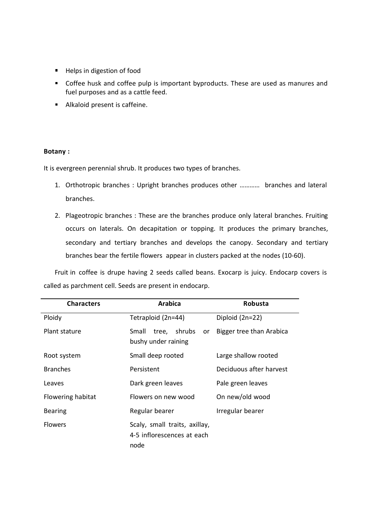- Helps in digestion of food
- Coffee husk and coffee pulp is important byproducts. These are used as manures and fuel purposes and as a cattle feed.
- Alkaloid present is caffeine.

# Botany :

- 1. Helps in digestion of food<br>
1. Coffee husk and coffee pulp is important byproducts. These are used as manures and<br>
1. Alkaloid present is caffeine.<br>
1. Orthotropic branches : Upright branches produces other ………… branche branches.
- 2. Plageotropic branches in the branches simple intervals. These are used as manures and fuel purposes and as a cattle feed.<br>2. Alkaloid present is caffeine.<br>2. Plageotropic branches : Upright branches produces only latera occurs on laterals. On decapitation or topping. It produces the primary branches, secondary and tertiary branches and develops the canopy. Secondary and tertiary branches bear the fertile flowers appear in clusters packed at the nodes (10-60). Characters<br>
Characters Arabica Robusta<br>
Characters Arabica Robusta<br>
Characters Arabica Robusta<br>
Characters Arabica Robusta<br>
Characters Arabica Robusta<br>
Characters Arabica Robusta<br>
Characters Arabica Robusta<br>
Characters<br>
Ch

| 1. Orthotropic branches: Upright branches produces other  branches and lateral<br>branches.<br>Plageotropic branches: These are the branches produce only lateral branches. Fruiting<br>2.<br>occurs on laterals. On decapitation or topping. It produces the primary branches,<br>secondary and tertiary branches and develops the canopy. Secondary and tertiary<br>branches bear the fertile flowers appear in clusters packed at the nodes (10-60).<br>Fruit in coffee is drupe having 2 seeds called beans. Exocarp is juicy. Endocarp covers is<br>called as parchment cell. Seeds are present in endocarp.<br><b>Characters</b><br><b>Arabica</b><br>Robusta<br>Diploid (2n=22)<br>Tetraploid (2n=44)<br>Ploidy<br>Plant stature<br>Small tree, shrubs<br>Bigger tree than Arabica<br>or<br>bushy under raining<br>Small deep rooted<br>Large shallow rooted<br>Root system<br>Deciduous after harvest<br><b>Branches</b><br>Persistent<br>Dark green leaves<br>Pale green leaves<br>Leaves<br>Flowering habitat<br>Flowers on new wood<br>On new/old wood<br><b>Bearing</b><br>Regular bearer<br>Irregular bearer<br>Flowers<br>Scaly, small traits, axillay,<br>4-5 inflorescences at each<br>node | It is evergreen perennial shrub. It produces two types of branches. |  |
|-------------------------------------------------------------------------------------------------------------------------------------------------------------------------------------------------------------------------------------------------------------------------------------------------------------------------------------------------------------------------------------------------------------------------------------------------------------------------------------------------------------------------------------------------------------------------------------------------------------------------------------------------------------------------------------------------------------------------------------------------------------------------------------------------------------------------------------------------------------------------------------------------------------------------------------------------------------------------------------------------------------------------------------------------------------------------------------------------------------------------------------------------------------------------------------------------------------|---------------------------------------------------------------------|--|
|                                                                                                                                                                                                                                                                                                                                                                                                                                                                                                                                                                                                                                                                                                                                                                                                                                                                                                                                                                                                                                                                                                                                                                                                             |                                                                     |  |
|                                                                                                                                                                                                                                                                                                                                                                                                                                                                                                                                                                                                                                                                                                                                                                                                                                                                                                                                                                                                                                                                                                                                                                                                             |                                                                     |  |
|                                                                                                                                                                                                                                                                                                                                                                                                                                                                                                                                                                                                                                                                                                                                                                                                                                                                                                                                                                                                                                                                                                                                                                                                             |                                                                     |  |
|                                                                                                                                                                                                                                                                                                                                                                                                                                                                                                                                                                                                                                                                                                                                                                                                                                                                                                                                                                                                                                                                                                                                                                                                             |                                                                     |  |
|                                                                                                                                                                                                                                                                                                                                                                                                                                                                                                                                                                                                                                                                                                                                                                                                                                                                                                                                                                                                                                                                                                                                                                                                             |                                                                     |  |
|                                                                                                                                                                                                                                                                                                                                                                                                                                                                                                                                                                                                                                                                                                                                                                                                                                                                                                                                                                                                                                                                                                                                                                                                             |                                                                     |  |
|                                                                                                                                                                                                                                                                                                                                                                                                                                                                                                                                                                                                                                                                                                                                                                                                                                                                                                                                                                                                                                                                                                                                                                                                             |                                                                     |  |
|                                                                                                                                                                                                                                                                                                                                                                                                                                                                                                                                                                                                                                                                                                                                                                                                                                                                                                                                                                                                                                                                                                                                                                                                             |                                                                     |  |
|                                                                                                                                                                                                                                                                                                                                                                                                                                                                                                                                                                                                                                                                                                                                                                                                                                                                                                                                                                                                                                                                                                                                                                                                             |                                                                     |  |
|                                                                                                                                                                                                                                                                                                                                                                                                                                                                                                                                                                                                                                                                                                                                                                                                                                                                                                                                                                                                                                                                                                                                                                                                             |                                                                     |  |
|                                                                                                                                                                                                                                                                                                                                                                                                                                                                                                                                                                                                                                                                                                                                                                                                                                                                                                                                                                                                                                                                                                                                                                                                             |                                                                     |  |
|                                                                                                                                                                                                                                                                                                                                                                                                                                                                                                                                                                                                                                                                                                                                                                                                                                                                                                                                                                                                                                                                                                                                                                                                             |                                                                     |  |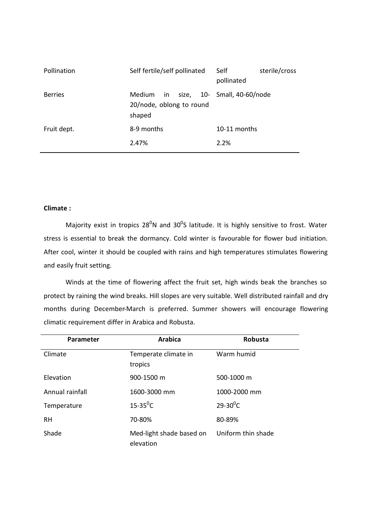| Pollination    | Self fertile/self pollinated       | Self<br>sterile/cross<br>pollinated |
|----------------|------------------------------------|-------------------------------------|
|                | Medium<br>size,<br>$10-$<br>in     | Small, 40-60/node                   |
| <b>Berries</b> | 20/node, oblong to round<br>shaped |                                     |
| Fruit dept.    | 8-9 months                         | 10-11 months                        |

# Climate :

Winds at the time of flowering affect the fruit set, high winds beak the branches so protect by raining the wind breaks. Hill slopes are very suitable. Well distributed rainfall and dry months during December-March is preferred. Summer showers will encourage flowering climatic requirement differ in Arabica and Robusta. Comparison in tropics 28<sup>0</sup>N and 30<sup>0</sup>S latitude. It is highly sensitive to frost. Water<br>
ressential to break the dormancy. Cold winter is favourable for flower bud initiation.<br>
Dol, winter it should be coupled with rains

| <b>Climate:</b>                                          |                                                                                                                    |              |  |
|----------------------------------------------------------|--------------------------------------------------------------------------------------------------------------------|--------------|--|
|                                                          | Majority exist in tropics 28 <sup>0</sup> N and 30 <sup>0</sup> S latitude. It is highly sensitive to frost. Water |              |  |
|                                                          | stress is essential to break the dormancy. Cold winter is favourable for flower bud initiation.                    |              |  |
|                                                          | After cool, winter it should be coupled with rains and high temperatures stimulates flowering                      |              |  |
| and easily fruit setting.                                |                                                                                                                    |              |  |
|                                                          | Winds at the time of flowering affect the fruit set, high winds beak the branches so                               |              |  |
|                                                          | protect by raining the wind breaks. Hill slopes are very suitable. Well distributed rainfall and dry               |              |  |
|                                                          | months during December-March is preferred. Summer showers will encourage flowering                                 |              |  |
|                                                          | climatic requirement differ in Arabica and Robusta.                                                                |              |  |
| Parameter                                                | <b>Arabica</b>                                                                                                     | Robusta      |  |
| Climate                                                  | Temperate climate in<br>tropics                                                                                    | Warm humid   |  |
|                                                          |                                                                                                                    |              |  |
|                                                          | 900-1500 m                                                                                                         | 500-1000 m   |  |
|                                                          | 1600-3000 mm                                                                                                       | 1000-2000 mm |  |
|                                                          | $15 - 35^{\circ}C$                                                                                                 | $29 - 30^0C$ |  |
| Elevation<br>Annual rainfall<br>Temperature<br><b>RH</b> | 70-80%                                                                                                             | 80-89%       |  |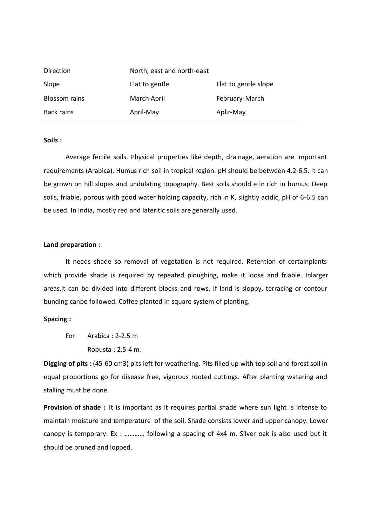| Direction            | North, east and north-east |                                                                                         |
|----------------------|----------------------------|-----------------------------------------------------------------------------------------|
| Slope                | Flat to gentle             | Flat to gentle slope                                                                    |
| <b>Blossom</b> rains | March-April                | February-March                                                                          |
| <b>Back rains</b>    | April-May                  | Aplir-May                                                                               |
| Soils:               |                            |                                                                                         |
|                      |                            | Average fertile soils. Physical properties like depth, drainage, aeration are important |

# Soils :

Average fertile soils. Physical properties like depth, drainage, aeration are important Direction<br>
Slope Flat to gentle Flat to gentle slope<br>
Elossom rains March-April<br>
Back rains April-May Aplir-May<br>
Soils :<br>
Average fertile soils. Physical properties like depth, drainage, aeration are important<br>
requirement be grown on hill slopes and undulating topography. Best soils should e in rich in humus. Deep soils, friable, porous with good water holding capacity, rich in K, slightly acidic, pH of 6-6.5 can be used. In India, mostly red and lateritic soils are generally used.

## Land preparation :

It needs shade so removal of vegetation is not required. Retention of certainplants which provide shade is required by repeated ploughing, make it loose and friable. Inlarger areas,it can be divided into different blocks and rows. If land is sloppy, terracing or contour bunding canbe followed. Coffee planted in square system of planting. vn on hill slopes and undulating topography. Best soils should e in rich in huiable, porous with good water holding capacity, rich in K, slightly acidic, pH c<br>1. In India, mostly red and lateritic soils are generally used.

## Spacing :

Robusta : 2.5-4 m.

Digging of pits : (45-60 cm3) pits left for weathering. Pits filled up with top soil and forest soil in equal proportions go for disease free, vigorous rooted cuttings. After planting watering and stalling must be done.

Provision of shade : It is important as it requires partial shade where sun light is intense to maintain moisture and temperature of the soil. Shade consists lower and upper canopy. Lower canopy is temporary. Ex : ………… following a spacing of 4x4 m. Silver oak is also used but it should be pruned and lopped.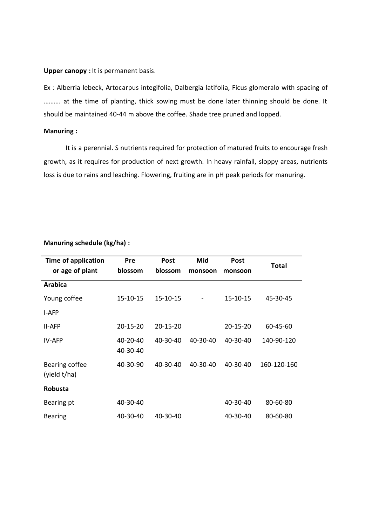## Upper canopy : It is permanent basis.

Ex : Alberria lebeck, Artocarpus integifolia, Dalbergia latifolia, Ficus glomeralo with spacing of ………. at the time of planting, thick sowing must be done later thinning should be done. It should be maintained 40-44 m above the coffee. Shade tree pruned and lopped.

# Manuring :

|                                                                                                  |                      |                 |                          |                 | It is a perennial. S nutrients required for protection of matured fruits to encourage fresh |
|--------------------------------------------------------------------------------------------------|----------------------|-----------------|--------------------------|-----------------|---------------------------------------------------------------------------------------------|
| growth, as it requires for production of next growth. In heavy rainfall, sloppy areas, nutrients |                      |                 |                          |                 |                                                                                             |
| loss is due to rains and leaching. Flowering, fruiting are in pH peak periods for manuring.      |                      |                 |                          |                 |                                                                                             |
|                                                                                                  |                      |                 |                          |                 |                                                                                             |
|                                                                                                  |                      |                 |                          |                 |                                                                                             |
|                                                                                                  |                      |                 |                          |                 |                                                                                             |
|                                                                                                  |                      |                 |                          |                 |                                                                                             |
| Manuring schedule (kg/ha) :                                                                      |                      |                 |                          |                 |                                                                                             |
| <b>Time of application</b><br>or age of plant                                                    | Pre<br>blossom       | Post<br>blossom | Mid<br>monsoon           | Post<br>monsoon | <b>Total</b>                                                                                |
| <b>Arabica</b>                                                                                   |                      |                 |                          |                 |                                                                                             |
|                                                                                                  |                      |                 |                          |                 |                                                                                             |
| Young coffee                                                                                     | 15-10-15             | $15 - 10 - 15$  | $\overline{\phantom{a}}$ | $15 - 10 - 15$  | 45-30-45                                                                                    |
| I-AFP                                                                                            |                      |                 |                          |                 |                                                                                             |
| <b>II-AFP</b>                                                                                    | 20-15-20             | 20-15-20        |                          | 20-15-20        | 60-45-60                                                                                    |
| IV-AFP                                                                                           | 40-20-40<br>40-30-40 | 40-30-40        | 40-30-40                 | 40-30-40        | 140-90-120                                                                                  |
| <b>Bearing coffee</b><br>(yield t/ha)                                                            | 40-30-90             | 40-30-40        | 40-30-40                 | 40-30-40        | 160-120-160                                                                                 |
| Robusta                                                                                          |                      |                 |                          |                 |                                                                                             |
|                                                                                                  | 40-30-40             |                 |                          | 40-30-40        | 80-60-80                                                                                    |
| Bearing pt                                                                                       |                      | 40-30-40        |                          | 40-30-40        | 80-60-80                                                                                    |

# Manuring schedule (kg/ha) :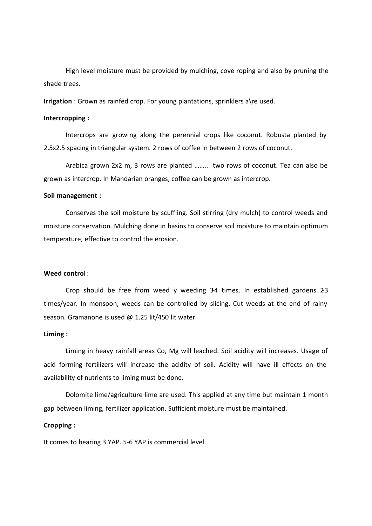High level moisture must be provided by mulching, cove roping and also by pruning the shade trees.

Irrigation : Grown as rainfed crop. For young plantations, sprinklers a\re used.

## Intercropping :

Intercrops are growing along the perennial crops like coconut. Robusta planted by 2.5x2.5 spacing in triangular system. 2 rows of coffee in between 2 rows of coconut.

Arabica grown 2x2 m, 3 rows are planted …….. two rows of coconut. Tea can also be grown as intercrop. In Mandarian oranges, coffee can be grown as intercrop.

## Soil management :

Conserves the soil moisture by scuffling. Soil stirring (dry mulch) to control weeds and moisture conservation. Mulching done in basins to conserve soil moisture to maintain optimum temperature, effective to control the erosion.

#### Weed control :

Crop should be free from weed y weeding 34 times. In established gardens 23 times/year. In monsoon, weeds can be controlled by slicing. Cut weeds at the end of rainy season. Gramanone is used @ 1.25 lit/450 lit water.

#### Liming :

Liming in heavy rainfall areas Co, Mg will leached. Soil acidity will increases. Usage of acid forming fertilizers will increase the acidity of soil. Acidity will have ill effects on the availability of nutrients to liming must be done.

Dolomite lime/agriculture lime are used. This applied at any time but maintain 1 month gap between liming, fertilizer application. Sufficient moisture must be maintained.

#### Cropping :

It comes to bearing 3 YAP. 5-6 YAP is commercial level.